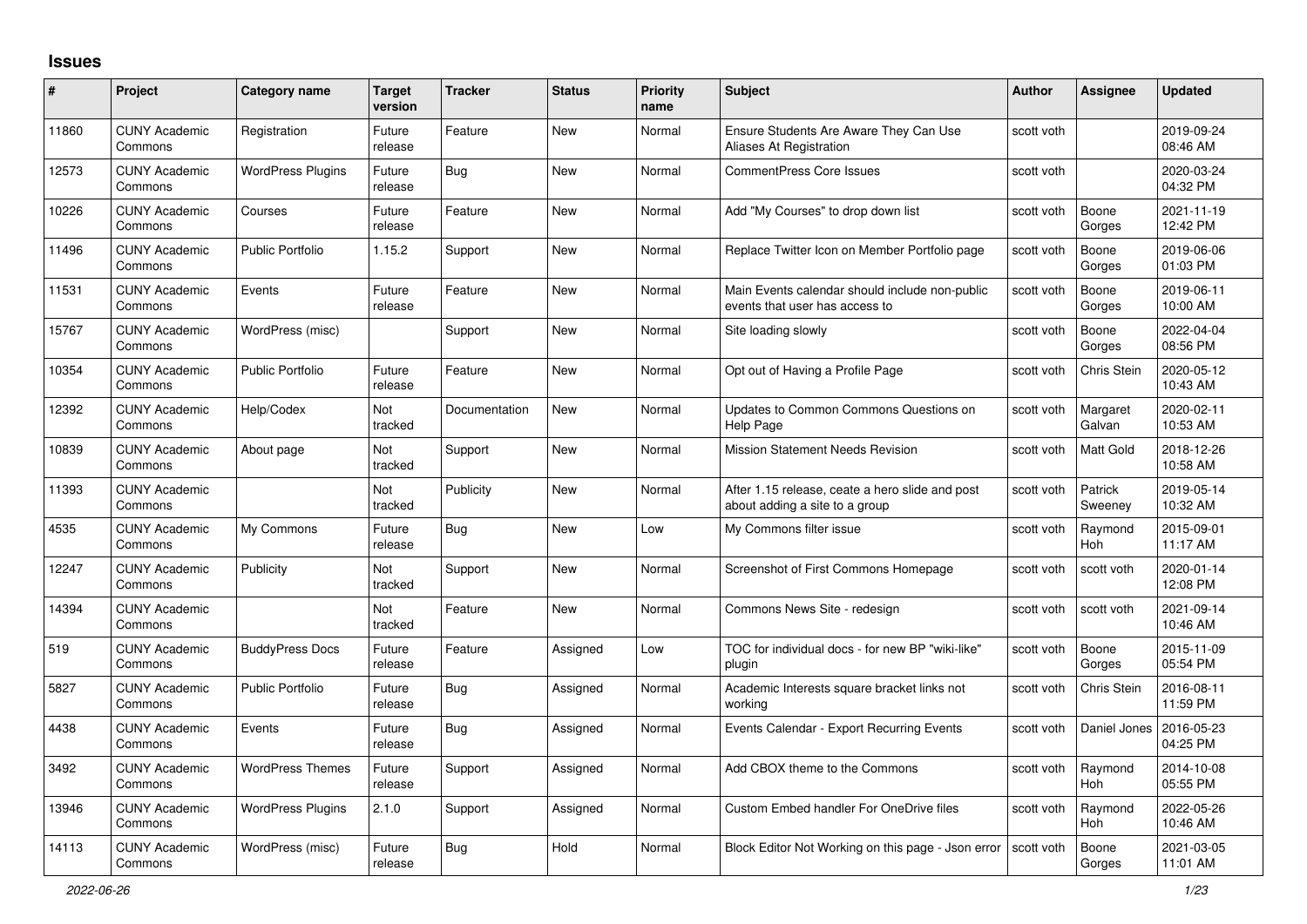## **Issues**

| #     | Project                         | Category name            | <b>Target</b><br>version | <b>Tracker</b> | <b>Status</b> | <b>Priority</b><br>name | <b>Subject</b>                                                                    | <b>Author</b> | Assignee              | <b>Updated</b>         |
|-------|---------------------------------|--------------------------|--------------------------|----------------|---------------|-------------------------|-----------------------------------------------------------------------------------|---------------|-----------------------|------------------------|
| 11860 | <b>CUNY Academic</b><br>Commons | Registration             | Future<br>release        | Feature        | <b>New</b>    | Normal                  | Ensure Students Are Aware They Can Use<br>Aliases At Registration                 | scott voth    |                       | 2019-09-24<br>08:46 AM |
| 12573 | <b>CUNY Academic</b><br>Commons | <b>WordPress Plugins</b> | Future<br>release        | Bug            | <b>New</b>    | Normal                  | <b>CommentPress Core Issues</b>                                                   | scott voth    |                       | 2020-03-24<br>04:32 PM |
| 10226 | <b>CUNY Academic</b><br>Commons | Courses                  | Future<br>release        | Feature        | <b>New</b>    | Normal                  | Add "My Courses" to drop down list                                                | scott voth    | Boone<br>Gorges       | 2021-11-19<br>12:42 PM |
| 11496 | <b>CUNY Academic</b><br>Commons | <b>Public Portfolio</b>  | 1.15.2                   | Support        | <b>New</b>    | Normal                  | Replace Twitter Icon on Member Portfolio page                                     | scott voth    | Boone<br>Gorges       | 2019-06-06<br>01:03 PM |
| 11531 | <b>CUNY Academic</b><br>Commons | Events                   | Future<br>release        | Feature        | <b>New</b>    | Normal                  | Main Events calendar should include non-public<br>events that user has access to  | scott voth    | Boone<br>Gorges       | 2019-06-11<br>10:00 AM |
| 15767 | <b>CUNY Academic</b><br>Commons | WordPress (misc)         |                          | Support        | <b>New</b>    | Normal                  | Site loading slowly                                                               | scott voth    | Boone<br>Gorges       | 2022-04-04<br>08:56 PM |
| 10354 | <b>CUNY Academic</b><br>Commons | <b>Public Portfolio</b>  | Future<br>release        | Feature        | <b>New</b>    | Normal                  | Opt out of Having a Profile Page                                                  | scott voth    | Chris Stein           | 2020-05-12<br>10:43 AM |
| 12392 | <b>CUNY Academic</b><br>Commons | Help/Codex               | Not<br>tracked           | Documentation  | <b>New</b>    | Normal                  | Updates to Common Commons Questions on<br>Help Page                               | scott voth    | Margaret<br>Galvan    | 2020-02-11<br>10:53 AM |
| 10839 | <b>CUNY Academic</b><br>Commons | About page               | Not<br>tracked           | Support        | <b>New</b>    | Normal                  | <b>Mission Statement Needs Revision</b>                                           | scott voth    | <b>Matt Gold</b>      | 2018-12-26<br>10:58 AM |
| 11393 | <b>CUNY Academic</b><br>Commons |                          | Not<br>tracked           | Publicity      | <b>New</b>    | Normal                  | After 1.15 release, ceate a hero slide and post<br>about adding a site to a group | scott voth    | Patrick<br>Sweeney    | 2019-05-14<br>10:32 AM |
| 4535  | <b>CUNY Academic</b><br>Commons | My Commons               | Future<br>release        | <b>Bug</b>     | <b>New</b>    | Low                     | My Commons filter issue                                                           | scott voth    | Raymond<br><b>Hoh</b> | 2015-09-01<br>11:17 AM |
| 12247 | <b>CUNY Academic</b><br>Commons | Publicity                | Not<br>tracked           | Support        | <b>New</b>    | Normal                  | Screenshot of First Commons Homepage                                              | scott voth    | scott voth            | 2020-01-14<br>12:08 PM |
| 14394 | <b>CUNY Academic</b><br>Commons |                          | Not<br>tracked           | Feature        | <b>New</b>    | Normal                  | Commons News Site - redesign                                                      | scott voth    | scott voth            | 2021-09-14<br>10:46 AM |
| 519   | <b>CUNY Academic</b><br>Commons | <b>BuddyPress Docs</b>   | Future<br>release        | Feature        | Assigned      | Low                     | TOC for individual docs - for new BP "wiki-like"<br>plugin                        | scott voth    | Boone<br>Gorges       | 2015-11-09<br>05:54 PM |
| 5827  | <b>CUNY Academic</b><br>Commons | <b>Public Portfolio</b>  | Future<br>release        | <b>Bug</b>     | Assigned      | Normal                  | Academic Interests square bracket links not<br>working                            | scott voth    | Chris Stein           | 2016-08-11<br>11:59 PM |
| 4438  | <b>CUNY Academic</b><br>Commons | Events                   | Future<br>release        | Bug            | Assigned      | Normal                  | Events Calendar - Export Recurring Events                                         | scott voth    | Daniel Jones          | 2016-05-23<br>04:25 PM |
| 3492  | <b>CUNY Academic</b><br>Commons | <b>WordPress Themes</b>  | Future<br>release        | Support        | Assigned      | Normal                  | Add CBOX theme to the Commons                                                     | scott voth    | Raymond<br><b>Hoh</b> | 2014-10-08<br>05:55 PM |
| 13946 | <b>CUNY Academic</b><br>Commons | <b>WordPress Plugins</b> | 2.1.0                    | Support        | Assigned      | Normal                  | Custom Embed handler For OneDrive files                                           | scott voth    | Raymond<br>Hoh        | 2022-05-26<br>10:46 AM |
| 14113 | <b>CUNY Academic</b><br>Commons | WordPress (misc)         | Future<br>release        | Bug            | Hold          | Normal                  | Block Editor Not Working on this page - Json error                                | scott voth    | Boone<br>Gorges       | 2021-03-05<br>11:01 AM |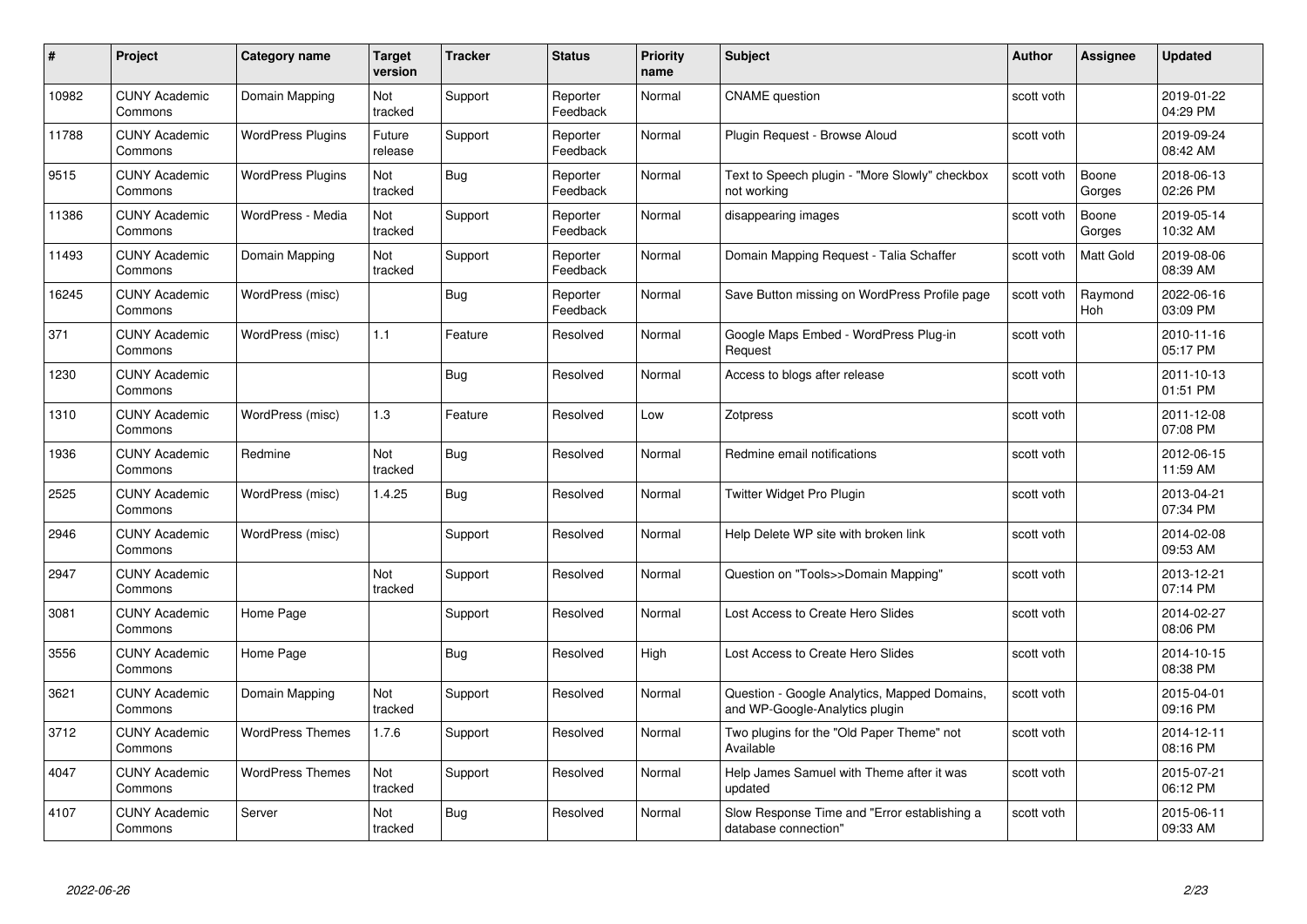| #     | Project                         | <b>Category name</b>     | <b>Target</b><br>version | <b>Tracker</b> | <b>Status</b>        | <b>Priority</b><br>name | <b>Subject</b>                                                                 | <b>Author</b> | <b>Assignee</b>  | <b>Updated</b>         |
|-------|---------------------------------|--------------------------|--------------------------|----------------|----------------------|-------------------------|--------------------------------------------------------------------------------|---------------|------------------|------------------------|
| 10982 | <b>CUNY Academic</b><br>Commons | Domain Mapping           | Not<br>tracked           | Support        | Reporter<br>Feedback | Normal                  | <b>CNAME</b> question                                                          | scott voth    |                  | 2019-01-22<br>04:29 PM |
| 11788 | <b>CUNY Academic</b><br>Commons | <b>WordPress Plugins</b> | Future<br>release        | Support        | Reporter<br>Feedback | Normal                  | Plugin Request - Browse Aloud                                                  | scott voth    |                  | 2019-09-24<br>08:42 AM |
| 9515  | <b>CUNY Academic</b><br>Commons | <b>WordPress Plugins</b> | Not<br>tracked           | <b>Bug</b>     | Reporter<br>Feedback | Normal                  | Text to Speech plugin - "More Slowly" checkbox<br>not working                  | scott voth    | Boone<br>Gorges  | 2018-06-13<br>02:26 PM |
| 11386 | <b>CUNY Academic</b><br>Commons | WordPress - Media        | Not<br>tracked           | Support        | Reporter<br>Feedback | Normal                  | disappearing images                                                            | scott voth    | Boone<br>Gorges  | 2019-05-14<br>10:32 AM |
| 11493 | <b>CUNY Academic</b><br>Commons | Domain Mapping           | Not<br>tracked           | Support        | Reporter<br>Feedback | Normal                  | Domain Mapping Request - Talia Schaffer                                        | scott voth    | <b>Matt Gold</b> | 2019-08-06<br>08:39 AM |
| 16245 | <b>CUNY Academic</b><br>Commons | WordPress (misc)         |                          | <b>Bug</b>     | Reporter<br>Feedback | Normal                  | Save Button missing on WordPress Profile page                                  | scott voth    | Raymond<br>Hoh   | 2022-06-16<br>03:09 PM |
| 371   | <b>CUNY Academic</b><br>Commons | WordPress (misc)         | 1.1                      | Feature        | Resolved             | Normal                  | Google Maps Embed - WordPress Plug-in<br>Request                               | scott voth    |                  | 2010-11-16<br>05:17 PM |
| 1230  | <b>CUNY Academic</b><br>Commons |                          |                          | Bug            | Resolved             | Normal                  | Access to blogs after release                                                  | scott voth    |                  | 2011-10-13<br>01:51 PM |
| 1310  | <b>CUNY Academic</b><br>Commons | WordPress (misc)         | 1.3                      | Feature        | Resolved             | Low                     | Zotpress                                                                       | scott voth    |                  | 2011-12-08<br>07:08 PM |
| 1936  | <b>CUNY Academic</b><br>Commons | Redmine                  | Not<br>tracked           | <b>Bug</b>     | Resolved             | Normal                  | Redmine email notifications                                                    | scott voth    |                  | 2012-06-15<br>11:59 AM |
| 2525  | <b>CUNY Academic</b><br>Commons | WordPress (misc)         | 1.4.25                   | <b>Bug</b>     | Resolved             | Normal                  | Twitter Widget Pro Plugin                                                      | scott voth    |                  | 2013-04-21<br>07:34 PM |
| 2946  | <b>CUNY Academic</b><br>Commons | WordPress (misc)         |                          | Support        | Resolved             | Normal                  | Help Delete WP site with broken link                                           | scott voth    |                  | 2014-02-08<br>09:53 AM |
| 2947  | <b>CUNY Academic</b><br>Commons |                          | Not<br>tracked           | Support        | Resolved             | Normal                  | Question on "Tools>>Domain Mapping"                                            | scott voth    |                  | 2013-12-21<br>07:14 PM |
| 3081  | <b>CUNY Academic</b><br>Commons | Home Page                |                          | Support        | Resolved             | Normal                  | Lost Access to Create Hero Slides                                              | scott voth    |                  | 2014-02-27<br>08:06 PM |
| 3556  | <b>CUNY Academic</b><br>Commons | Home Page                |                          | Bug            | Resolved             | High                    | Lost Access to Create Hero Slides                                              | scott voth    |                  | 2014-10-15<br>08:38 PM |
| 3621  | <b>CUNY Academic</b><br>Commons | Domain Mapping           | Not<br>tracked           | Support        | Resolved             | Normal                  | Question - Google Analytics, Mapped Domains,<br>and WP-Google-Analytics plugin | scott voth    |                  | 2015-04-01<br>09:16 PM |
| 3712  | <b>CUNY Academic</b><br>Commons | <b>WordPress Themes</b>  | 1.7.6                    | Support        | Resolved             | Normal                  | Two plugins for the "Old Paper Theme" not<br>Available                         | scott voth    |                  | 2014-12-11<br>08:16 PM |
| 4047  | <b>CUNY Academic</b><br>Commons | <b>WordPress Themes</b>  | Not<br>tracked           | Support        | Resolved             | Normal                  | Help James Samuel with Theme after it was<br>updated                           | scott voth    |                  | 2015-07-21<br>06:12 PM |
| 4107  | <b>CUNY Academic</b><br>Commons | Server                   | Not<br>tracked           | Bug            | Resolved             | Normal                  | Slow Response Time and "Error establishing a<br>database connection"           | scott voth    |                  | 2015-06-11<br>09:33 AM |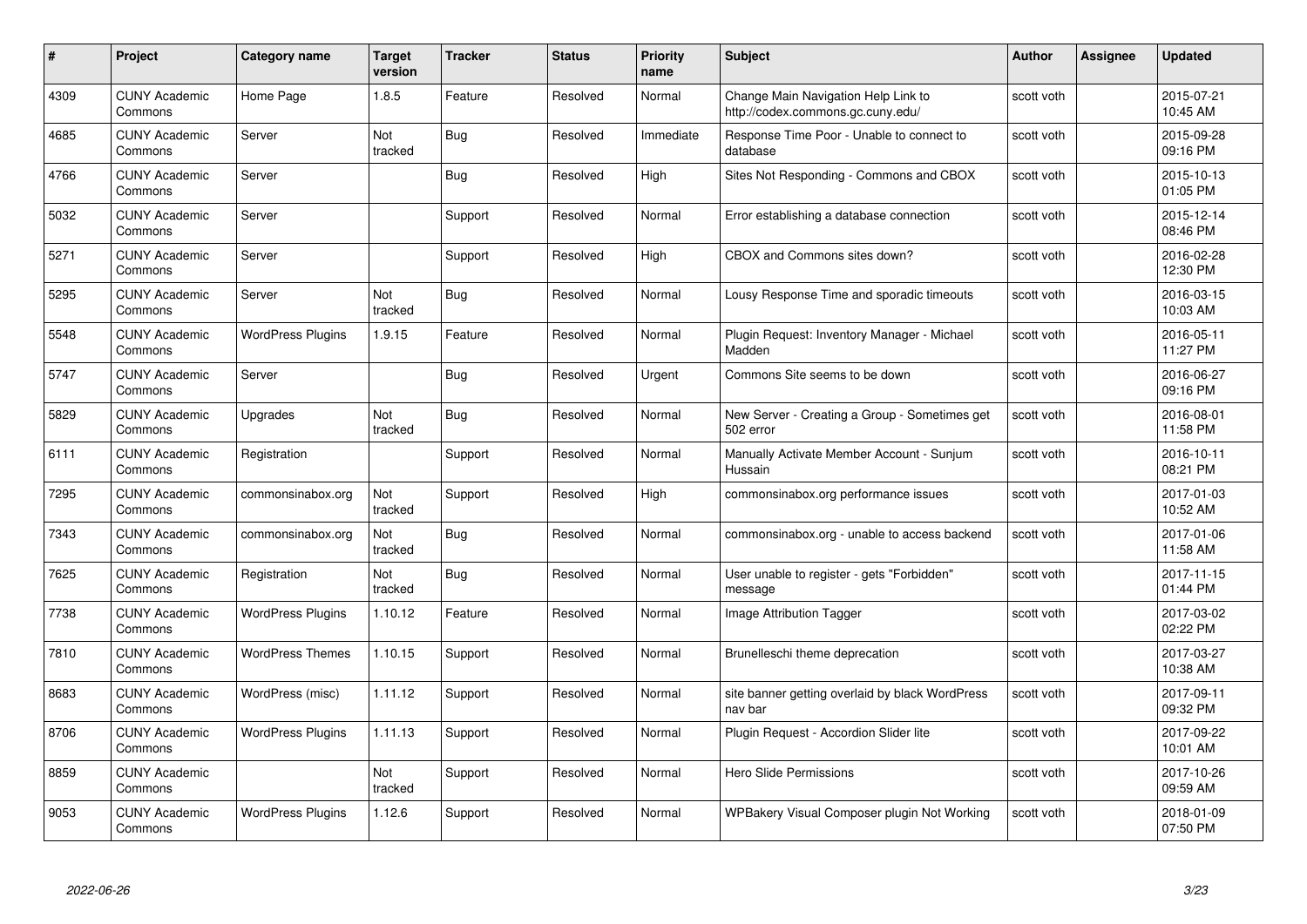| #    | Project                         | <b>Category name</b>     | <b>Target</b><br>version | <b>Tracker</b> | <b>Status</b> | <b>Priority</b><br>name | <b>Subject</b>                                                           | <b>Author</b> | Assignee | <b>Updated</b>         |
|------|---------------------------------|--------------------------|--------------------------|----------------|---------------|-------------------------|--------------------------------------------------------------------------|---------------|----------|------------------------|
| 4309 | <b>CUNY Academic</b><br>Commons | Home Page                | 1.8.5                    | Feature        | Resolved      | Normal                  | Change Main Navigation Help Link to<br>http://codex.commons.gc.cuny.edu/ | scott voth    |          | 2015-07-21<br>10:45 AM |
| 4685 | <b>CUNY Academic</b><br>Commons | Server                   | Not<br>tracked           | <b>Bug</b>     | Resolved      | Immediate               | Response Time Poor - Unable to connect to<br>database                    | scott voth    |          | 2015-09-28<br>09:16 PM |
| 4766 | <b>CUNY Academic</b><br>Commons | Server                   |                          | <b>Bug</b>     | Resolved      | High                    | Sites Not Responding - Commons and CBOX                                  | scott voth    |          | 2015-10-13<br>01:05 PM |
| 5032 | <b>CUNY Academic</b><br>Commons | Server                   |                          | Support        | Resolved      | Normal                  | Error establishing a database connection                                 | scott voth    |          | 2015-12-14<br>08:46 PM |
| 5271 | <b>CUNY Academic</b><br>Commons | Server                   |                          | Support        | Resolved      | High                    | CBOX and Commons sites down?                                             | scott voth    |          | 2016-02-28<br>12:30 PM |
| 5295 | <b>CUNY Academic</b><br>Commons | Server                   | Not<br>tracked           | <b>Bug</b>     | Resolved      | Normal                  | Lousy Response Time and sporadic timeouts                                | scott voth    |          | 2016-03-15<br>10:03 AM |
| 5548 | <b>CUNY Academic</b><br>Commons | <b>WordPress Plugins</b> | 1.9.15                   | Feature        | Resolved      | Normal                  | Plugin Request: Inventory Manager - Michael<br>Madden                    | scott voth    |          | 2016-05-11<br>11:27 PM |
| 5747 | <b>CUNY Academic</b><br>Commons | Server                   |                          | <b>Bug</b>     | Resolved      | Urgent                  | Commons Site seems to be down                                            | scott voth    |          | 2016-06-27<br>09:16 PM |
| 5829 | <b>CUNY Academic</b><br>Commons | Upgrades                 | Not<br>tracked           | Bug            | Resolved      | Normal                  | New Server - Creating a Group - Sometimes get<br>502 error               | scott voth    |          | 2016-08-01<br>11:58 PM |
| 6111 | <b>CUNY Academic</b><br>Commons | Registration             |                          | Support        | Resolved      | Normal                  | Manually Activate Member Account - Sunjum<br>Hussain                     | scott voth    |          | 2016-10-11<br>08:21 PM |
| 7295 | <b>CUNY Academic</b><br>Commons | commonsinabox.org        | Not<br>tracked           | Support        | Resolved      | High                    | commonsinabox.org performance issues                                     | scott voth    |          | 2017-01-03<br>10:52 AM |
| 7343 | <b>CUNY Academic</b><br>Commons | commonsinabox.org        | Not<br>tracked           | <b>Bug</b>     | Resolved      | Normal                  | commonsinabox.org - unable to access backend                             | scott voth    |          | 2017-01-06<br>11:58 AM |
| 7625 | <b>CUNY Academic</b><br>Commons | Registration             | Not<br>tracked           | Bug            | Resolved      | Normal                  | User unable to register - gets "Forbidden"<br>message                    | scott voth    |          | 2017-11-15<br>01:44 PM |
| 7738 | <b>CUNY Academic</b><br>Commons | <b>WordPress Plugins</b> | 1.10.12                  | Feature        | Resolved      | Normal                  | Image Attribution Tagger                                                 | scott voth    |          | 2017-03-02<br>02:22 PM |
| 7810 | <b>CUNY Academic</b><br>Commons | <b>WordPress Themes</b>  | 1.10.15                  | Support        | Resolved      | Normal                  | Brunelleschi theme deprecation                                           | scott voth    |          | 2017-03-27<br>10:38 AM |
| 8683 | <b>CUNY Academic</b><br>Commons | WordPress (misc)         | 1.11.12                  | Support        | Resolved      | Normal                  | site banner getting overlaid by black WordPress<br>nav bar               | scott voth    |          | 2017-09-11<br>09:32 PM |
| 8706 | <b>CUNY Academic</b><br>Commons | <b>WordPress Plugins</b> | 1.11.13                  | Support        | Resolved      | Normal                  | Plugin Request - Accordion Slider lite                                   | scott voth    |          | 2017-09-22<br>10:01 AM |
| 8859 | <b>CUNY Academic</b><br>Commons |                          | Not<br>tracked           | Support        | Resolved      | Normal                  | Hero Slide Permissions                                                   | scott voth    |          | 2017-10-26<br>09:59 AM |
| 9053 | <b>CUNY Academic</b><br>Commons | <b>WordPress Plugins</b> | 1.12.6                   | Support        | Resolved      | Normal                  | WPBakery Visual Composer plugin Not Working                              | scott voth    |          | 2018-01-09<br>07:50 PM |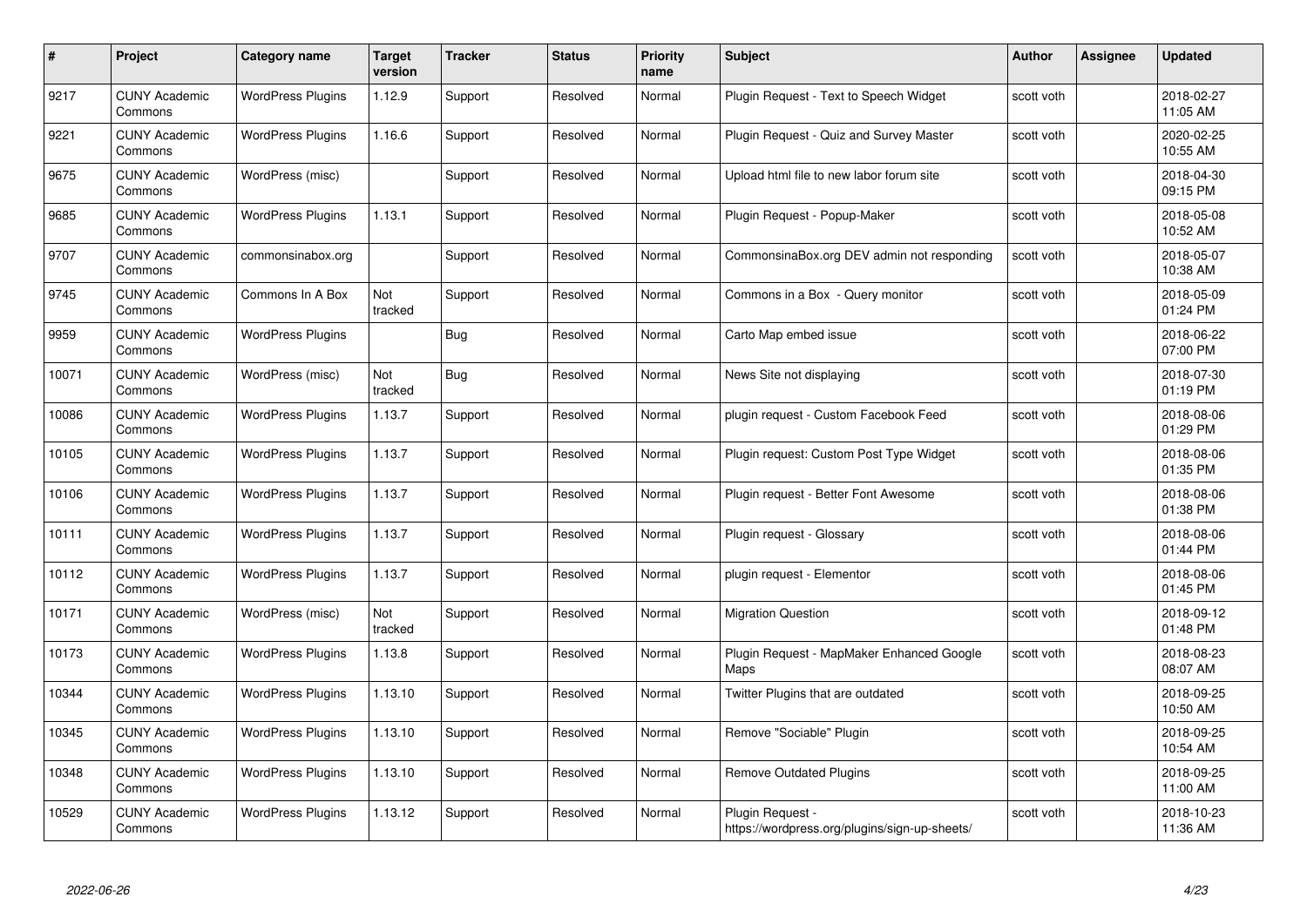| #     | Project                         | Category name            | <b>Target</b><br>version | <b>Tracker</b> | <b>Status</b> | <b>Priority</b><br>name | <b>Subject</b>                                                    | <b>Author</b> | Assignee | <b>Updated</b>         |
|-------|---------------------------------|--------------------------|--------------------------|----------------|---------------|-------------------------|-------------------------------------------------------------------|---------------|----------|------------------------|
| 9217  | <b>CUNY Academic</b><br>Commons | <b>WordPress Plugins</b> | 1.12.9                   | Support        | Resolved      | Normal                  | Plugin Request - Text to Speech Widget                            | scott voth    |          | 2018-02-27<br>11:05 AM |
| 9221  | <b>CUNY Academic</b><br>Commons | <b>WordPress Plugins</b> | 1.16.6                   | Support        | Resolved      | Normal                  | Plugin Request - Quiz and Survey Master                           | scott voth    |          | 2020-02-25<br>10:55 AM |
| 9675  | <b>CUNY Academic</b><br>Commons | WordPress (misc)         |                          | Support        | Resolved      | Normal                  | Upload html file to new labor forum site                          | scott voth    |          | 2018-04-30<br>09:15 PM |
| 9685  | <b>CUNY Academic</b><br>Commons | <b>WordPress Plugins</b> | 1.13.1                   | Support        | Resolved      | Normal                  | Plugin Request - Popup-Maker                                      | scott voth    |          | 2018-05-08<br>10:52 AM |
| 9707  | <b>CUNY Academic</b><br>Commons | commonsinabox.org        |                          | Support        | Resolved      | Normal                  | CommonsinaBox.org DEV admin not responding                        | scott voth    |          | 2018-05-07<br>10:38 AM |
| 9745  | <b>CUNY Academic</b><br>Commons | Commons In A Box         | Not<br>tracked           | Support        | Resolved      | Normal                  | Commons in a Box - Query monitor                                  | scott voth    |          | 2018-05-09<br>01:24 PM |
| 9959  | <b>CUNY Academic</b><br>Commons | <b>WordPress Plugins</b> |                          | Bug            | Resolved      | Normal                  | Carto Map embed issue                                             | scott voth    |          | 2018-06-22<br>07:00 PM |
| 10071 | <b>CUNY Academic</b><br>Commons | WordPress (misc)         | Not<br>tracked           | Bug            | Resolved      | Normal                  | News Site not displaying                                          | scott voth    |          | 2018-07-30<br>01:19 PM |
| 10086 | <b>CUNY Academic</b><br>Commons | <b>WordPress Plugins</b> | 1.13.7                   | Support        | Resolved      | Normal                  | plugin request - Custom Facebook Feed                             | scott voth    |          | 2018-08-06<br>01:29 PM |
| 10105 | <b>CUNY Academic</b><br>Commons | <b>WordPress Plugins</b> | 1.13.7                   | Support        | Resolved      | Normal                  | Plugin request: Custom Post Type Widget                           | scott voth    |          | 2018-08-06<br>01:35 PM |
| 10106 | <b>CUNY Academic</b><br>Commons | <b>WordPress Plugins</b> | 1.13.7                   | Support        | Resolved      | Normal                  | Plugin request - Better Font Awesome                              | scott voth    |          | 2018-08-06<br>01:38 PM |
| 10111 | <b>CUNY Academic</b><br>Commons | <b>WordPress Plugins</b> | 1.13.7                   | Support        | Resolved      | Normal                  | Plugin request - Glossary                                         | scott voth    |          | 2018-08-06<br>01:44 PM |
| 10112 | <b>CUNY Academic</b><br>Commons | <b>WordPress Plugins</b> | 1.13.7                   | Support        | Resolved      | Normal                  | plugin request - Elementor                                        | scott voth    |          | 2018-08-06<br>01:45 PM |
| 10171 | <b>CUNY Academic</b><br>Commons | WordPress (misc)         | Not<br>tracked           | Support        | Resolved      | Normal                  | <b>Migration Question</b>                                         | scott voth    |          | 2018-09-12<br>01:48 PM |
| 10173 | <b>CUNY Academic</b><br>Commons | <b>WordPress Plugins</b> | 1.13.8                   | Support        | Resolved      | Normal                  | Plugin Request - MapMaker Enhanced Google<br>Maps                 | scott voth    |          | 2018-08-23<br>08:07 AM |
| 10344 | <b>CUNY Academic</b><br>Commons | <b>WordPress Plugins</b> | 1.13.10                  | Support        | Resolved      | Normal                  | Twitter Plugins that are outdated                                 | scott voth    |          | 2018-09-25<br>10:50 AM |
| 10345 | <b>CUNY Academic</b><br>Commons | <b>WordPress Plugins</b> | 1.13.10                  | Support        | Resolved      | Normal                  | Remove "Sociable" Plugin                                          | scott voth    |          | 2018-09-25<br>10:54 AM |
| 10348 | <b>CUNY Academic</b><br>Commons | <b>WordPress Plugins</b> | 1.13.10                  | Support        | Resolved      | Normal                  | <b>Remove Outdated Plugins</b>                                    | scott voth    |          | 2018-09-25<br>11:00 AM |
| 10529 | CUNY Academic<br>Commons        | <b>WordPress Plugins</b> | 1.13.12                  | Support        | Resolved      | Normal                  | Plugin Request -<br>https://wordpress.org/plugins/sign-up-sheets/ | scott voth    |          | 2018-10-23<br>11:36 AM |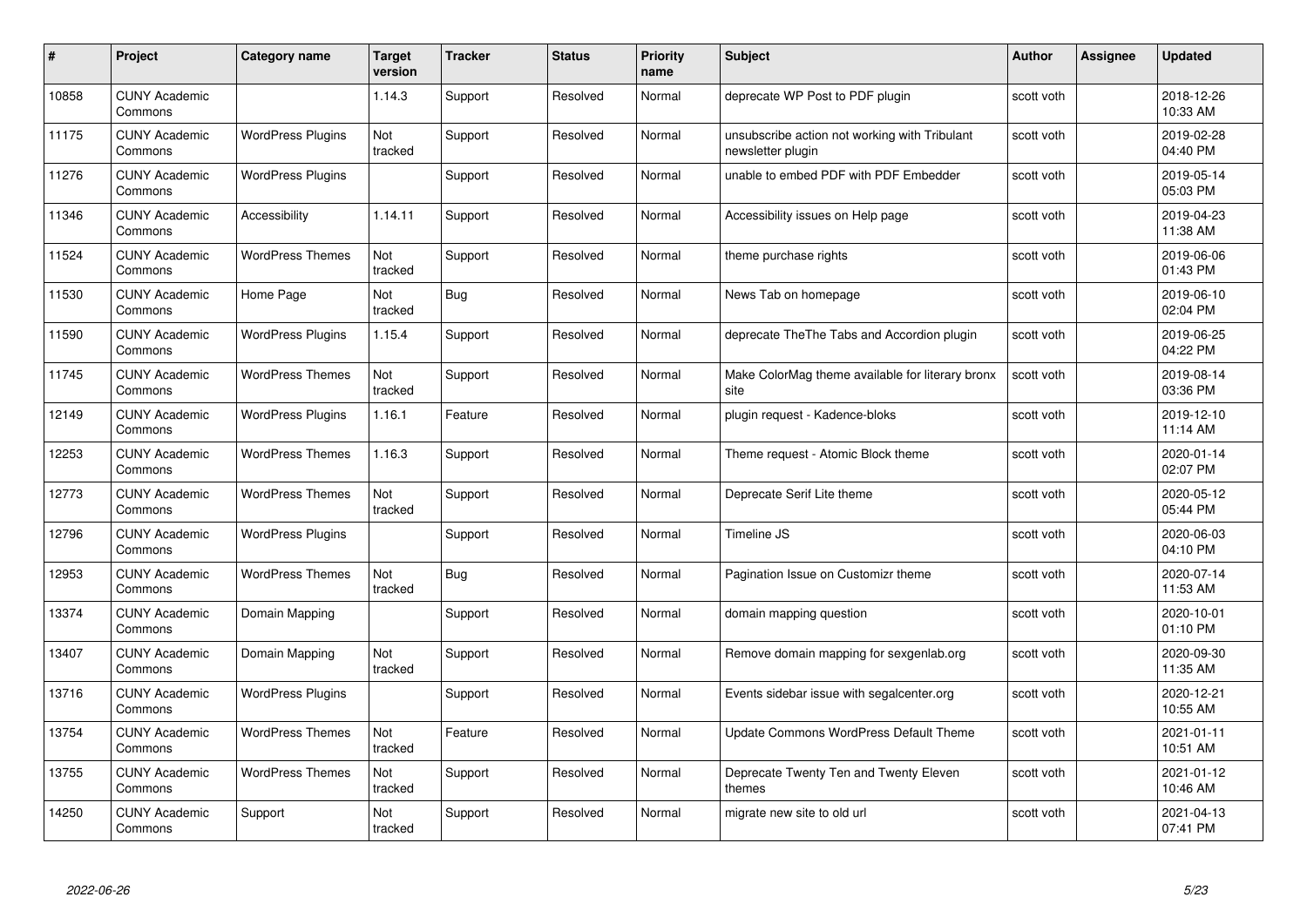| #     | Project                         | Category name            | <b>Target</b><br>version | <b>Tracker</b> | <b>Status</b> | <b>Priority</b><br>name | <b>Subject</b>                                                     | <b>Author</b> | <b>Assignee</b> | <b>Updated</b>         |
|-------|---------------------------------|--------------------------|--------------------------|----------------|---------------|-------------------------|--------------------------------------------------------------------|---------------|-----------------|------------------------|
| 10858 | <b>CUNY Academic</b><br>Commons |                          | 1.14.3                   | Support        | Resolved      | Normal                  | deprecate WP Post to PDF plugin                                    | scott voth    |                 | 2018-12-26<br>10:33 AM |
| 11175 | <b>CUNY Academic</b><br>Commons | <b>WordPress Plugins</b> | Not<br>tracked           | Support        | Resolved      | Normal                  | unsubscribe action not working with Tribulant<br>newsletter plugin | scott voth    |                 | 2019-02-28<br>04:40 PM |
| 11276 | <b>CUNY Academic</b><br>Commons | <b>WordPress Plugins</b> |                          | Support        | Resolved      | Normal                  | unable to embed PDF with PDF Embedder                              | scott voth    |                 | 2019-05-14<br>05:03 PM |
| 11346 | <b>CUNY Academic</b><br>Commons | Accessibility            | 1.14.11                  | Support        | Resolved      | Normal                  | Accessibility issues on Help page                                  | scott voth    |                 | 2019-04-23<br>11:38 AM |
| 11524 | <b>CUNY Academic</b><br>Commons | <b>WordPress Themes</b>  | Not<br>tracked           | Support        | Resolved      | Normal                  | theme purchase rights                                              | scott voth    |                 | 2019-06-06<br>01:43 PM |
| 11530 | <b>CUNY Academic</b><br>Commons | Home Page                | Not<br>tracked           | <b>Bug</b>     | Resolved      | Normal                  | News Tab on homepage                                               | scott voth    |                 | 2019-06-10<br>02:04 PM |
| 11590 | <b>CUNY Academic</b><br>Commons | <b>WordPress Plugins</b> | 1.15.4                   | Support        | Resolved      | Normal                  | deprecate The The Tabs and Accordion plugin                        | scott voth    |                 | 2019-06-25<br>04:22 PM |
| 11745 | <b>CUNY Academic</b><br>Commons | <b>WordPress Themes</b>  | Not<br>tracked           | Support        | Resolved      | Normal                  | Make ColorMag theme available for literary bronx<br>site           | scott voth    |                 | 2019-08-14<br>03:36 PM |
| 12149 | <b>CUNY Academic</b><br>Commons | <b>WordPress Plugins</b> | 1.16.1                   | Feature        | Resolved      | Normal                  | plugin request - Kadence-bloks                                     | scott voth    |                 | 2019-12-10<br>11:14 AM |
| 12253 | <b>CUNY Academic</b><br>Commons | <b>WordPress Themes</b>  | 1.16.3                   | Support        | Resolved      | Normal                  | Theme request - Atomic Block theme                                 | scott voth    |                 | 2020-01-14<br>02:07 PM |
| 12773 | <b>CUNY Academic</b><br>Commons | <b>WordPress Themes</b>  | Not<br>tracked           | Support        | Resolved      | Normal                  | Deprecate Serif Lite theme                                         | scott voth    |                 | 2020-05-12<br>05:44 PM |
| 12796 | <b>CUNY Academic</b><br>Commons | <b>WordPress Plugins</b> |                          | Support        | Resolved      | Normal                  | Timeline JS                                                        | scott voth    |                 | 2020-06-03<br>04:10 PM |
| 12953 | <b>CUNY Academic</b><br>Commons | <b>WordPress Themes</b>  | Not<br>tracked           | <b>Bug</b>     | Resolved      | Normal                  | Pagination Issue on Customizr theme                                | scott voth    |                 | 2020-07-14<br>11:53 AM |
| 13374 | <b>CUNY Academic</b><br>Commons | Domain Mapping           |                          | Support        | Resolved      | Normal                  | domain mapping question                                            | scott voth    |                 | 2020-10-01<br>01:10 PM |
| 13407 | <b>CUNY Academic</b><br>Commons | Domain Mapping           | Not<br>tracked           | Support        | Resolved      | Normal                  | Remove domain mapping for sexgenlab.org                            | scott voth    |                 | 2020-09-30<br>11:35 AM |
| 13716 | <b>CUNY Academic</b><br>Commons | <b>WordPress Plugins</b> |                          | Support        | Resolved      | Normal                  | Events sidebar issue with segalcenter.org                          | scott voth    |                 | 2020-12-21<br>10:55 AM |
| 13754 | <b>CUNY Academic</b><br>Commons | <b>WordPress Themes</b>  | Not<br>tracked           | Feature        | Resolved      | Normal                  | Update Commons WordPress Default Theme                             | scott voth    |                 | 2021-01-11<br>10:51 AM |
| 13755 | <b>CUNY Academic</b><br>Commons | <b>WordPress Themes</b>  | Not<br>tracked           | Support        | Resolved      | Normal                  | Deprecate Twenty Ten and Twenty Eleven<br>themes                   | scott voth    |                 | 2021-01-12<br>10:46 AM |
| 14250 | <b>CUNY Academic</b><br>Commons | Support                  | Not<br>tracked           | Support        | Resolved      | Normal                  | migrate new site to old url                                        | scott voth    |                 | 2021-04-13<br>07:41 PM |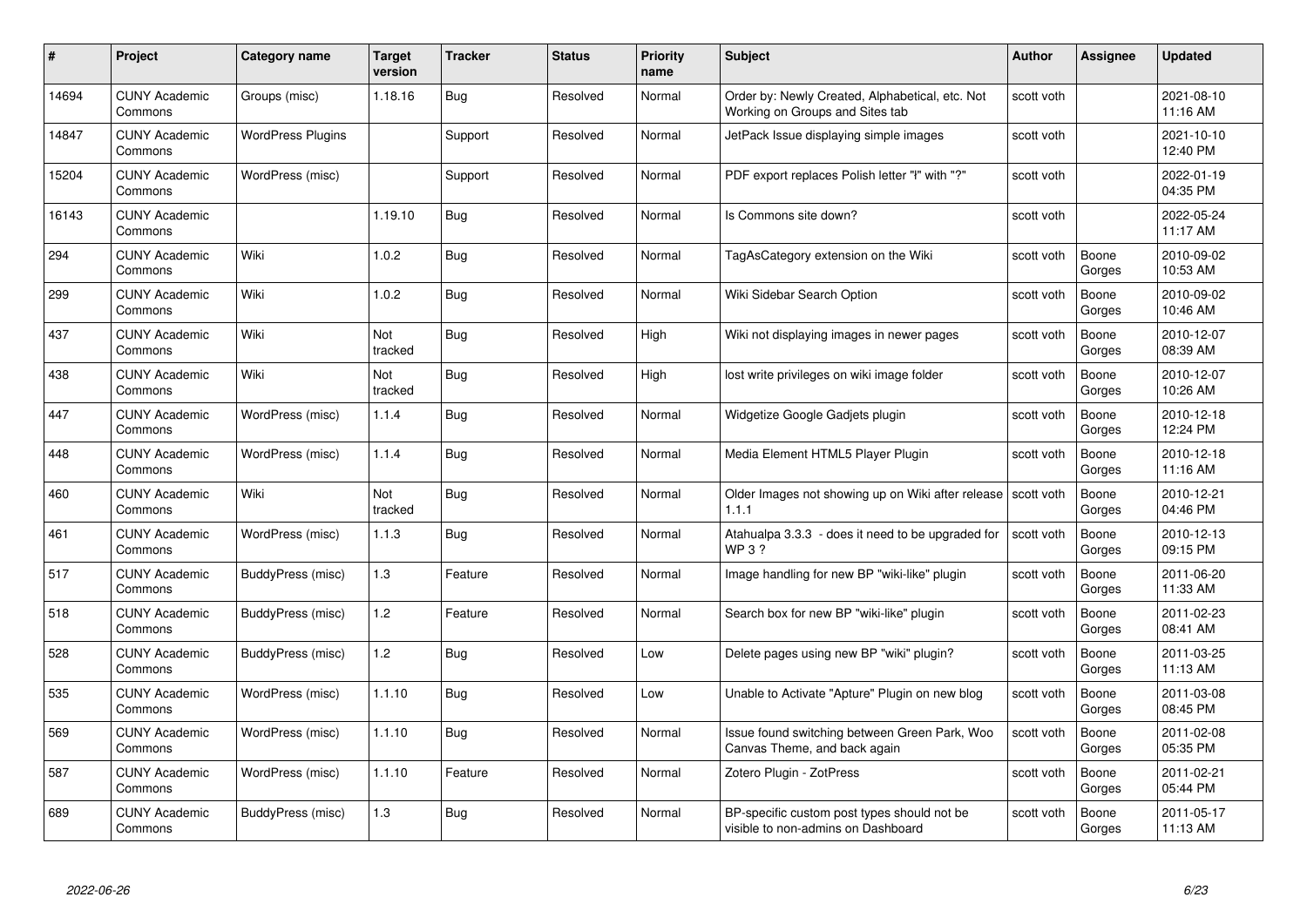|       | Project                         | <b>Category name</b>     | Target<br>version | <b>Tracker</b> | <b>Status</b> | <b>Priority</b><br>name | <b>Subject</b>                                                                     | <b>Author</b> | <b>Assignee</b> | <b>Updated</b>         |
|-------|---------------------------------|--------------------------|-------------------|----------------|---------------|-------------------------|------------------------------------------------------------------------------------|---------------|-----------------|------------------------|
| 14694 | <b>CUNY Academic</b><br>Commons | Groups (misc)            | 1.18.16           | Bug            | Resolved      | Normal                  | Order by: Newly Created, Alphabetical, etc. Not<br>Working on Groups and Sites tab | scott voth    |                 | 2021-08-10<br>11:16 AM |
| 14847 | <b>CUNY Academic</b><br>Commons | <b>WordPress Plugins</b> |                   | Support        | Resolved      | Normal                  | JetPack Issue displaying simple images                                             | scott voth    |                 | 2021-10-10<br>12:40 PM |
| 15204 | <b>CUNY Academic</b><br>Commons | WordPress (misc)         |                   | Support        | Resolved      | Normal                  | PDF export replaces Polish letter "ł" with "?"                                     | scott voth    |                 | 2022-01-19<br>04:35 PM |
| 16143 | <b>CUNY Academic</b><br>Commons |                          | 1.19.10           | <b>Bug</b>     | Resolved      | Normal                  | Is Commons site down?                                                              | scott voth    |                 | 2022-05-24<br>11:17 AM |
| 294   | <b>CUNY Academic</b><br>Commons | Wiki                     | 1.0.2             | <b>Bug</b>     | Resolved      | Normal                  | TagAsCategory extension on the Wiki                                                | scott voth    | Boone<br>Gorges | 2010-09-02<br>10:53 AM |
| 299   | <b>CUNY Academic</b><br>Commons | Wiki                     | 1.0.2             | Bug            | Resolved      | Normal                  | Wiki Sidebar Search Option                                                         | scott voth    | Boone<br>Gorges | 2010-09-02<br>10:46 AM |
| 437   | <b>CUNY Academic</b><br>Commons | Wiki                     | Not<br>tracked    | <b>Bug</b>     | Resolved      | High                    | Wiki not displaying images in newer pages                                          | scott voth    | Boone<br>Gorges | 2010-12-07<br>08:39 AM |
| 438   | <b>CUNY Academic</b><br>Commons | Wiki                     | Not<br>tracked    | <b>Bug</b>     | Resolved      | High                    | lost write privileges on wiki image folder                                         | scott voth    | Boone<br>Gorges | 2010-12-07<br>10:26 AM |
| 447   | <b>CUNY Academic</b><br>Commons | WordPress (misc)         | 1.1.4             | <b>Bug</b>     | Resolved      | Normal                  | Widgetize Google Gadjets plugin                                                    | scott voth    | Boone<br>Gorges | 2010-12-18<br>12:24 PM |
| 448   | <b>CUNY Academic</b><br>Commons | WordPress (misc)         | 1.1.4             | Bug            | Resolved      | Normal                  | Media Element HTML5 Player Plugin                                                  | scott voth    | Boone<br>Gorges | 2010-12-18<br>11:16 AM |
| 460   | CUNY Academic<br>Commons        | Wiki                     | Not<br>tracked    | <b>Bug</b>     | Resolved      | Normal                  | Older Images not showing up on Wiki after release Scott voth<br>1.1.1              |               | Boone<br>Gorges | 2010-12-21<br>04:46 PM |
| 461   | <b>CUNY Academic</b><br>Commons | WordPress (misc)         | 1.1.3             | <b>Bug</b>     | Resolved      | Normal                  | Atahualpa 3.3.3 - does it need to be upgraded for<br>WP 3 ?                        | scott voth    | Boone<br>Gorges | 2010-12-13<br>09:15 PM |
| 517   | CUNY Academic<br>Commons        | BuddyPress (misc)        | $1.3$             | Feature        | Resolved      | Normal                  | Image handling for new BP "wiki-like" plugin                                       | scott voth    | Boone<br>Gorges | 2011-06-20<br>11:33 AM |
| 518   | <b>CUNY Academic</b><br>Commons | BuddyPress (misc)        | 1.2               | Feature        | Resolved      | Normal                  | Search box for new BP "wiki-like" plugin                                           | scott voth    | Boone<br>Gorges | 2011-02-23<br>08:41 AM |
| 528   | <b>CUNY Academic</b><br>Commons | BuddyPress (misc)        | 1.2               | Bug            | Resolved      | Low                     | Delete pages using new BP "wiki" plugin?                                           | scott voth    | Boone<br>Gorges | 2011-03-25<br>11:13 AM |
| 535   | <b>CUNY Academic</b><br>Commons | WordPress (misc)         | 1.1.10            | <b>Bug</b>     | Resolved      | Low                     | Unable to Activate "Apture" Plugin on new blog                                     | scott voth    | Boone<br>Gorges | 2011-03-08<br>08:45 PM |
| 569   | <b>CUNY Academic</b><br>Commons | WordPress (misc)         | 1.1.10            | Bug            | Resolved      | Normal                  | Issue found switching between Green Park, Woo<br>Canvas Theme, and back again      | scott voth    | Boone<br>Gorges | 2011-02-08<br>05:35 PM |
| 587   | <b>CUNY Academic</b><br>Commons | WordPress (misc)         | 1.1.10            | Feature        | Resolved      | Normal                  | Zotero Plugin - ZotPress                                                           | scott voth    | Boone<br>Gorges | 2011-02-21<br>05:44 PM |
| 689   | CUNY Academic<br>Commons        | BuddyPress (misc)        | 1.3               | Bug            | Resolved      | Normal                  | BP-specific custom post types should not be<br>visible to non-admins on Dashboard  | scott voth    | Boone<br>Gorges | 2011-05-17<br>11:13 AM |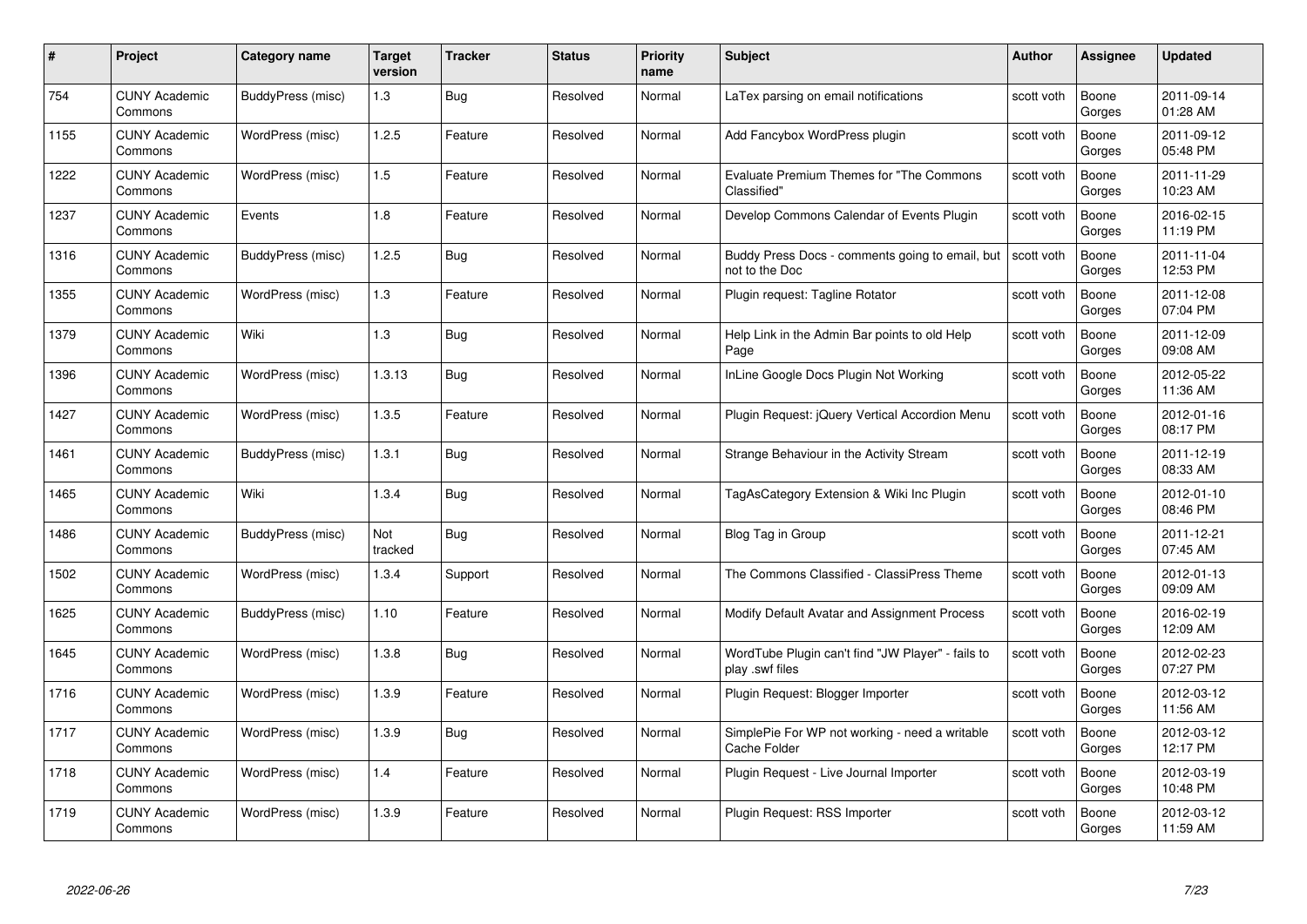| #    | Project                         | <b>Category name</b> | Target<br>version | <b>Tracker</b> | <b>Status</b> | <b>Priority</b><br>name | <b>Subject</b>                                                       | <b>Author</b> | <b>Assignee</b> | <b>Updated</b>         |
|------|---------------------------------|----------------------|-------------------|----------------|---------------|-------------------------|----------------------------------------------------------------------|---------------|-----------------|------------------------|
| 754  | <b>CUNY Academic</b><br>Commons | BuddyPress (misc)    | 1.3               | Bug            | Resolved      | Normal                  | LaTex parsing on email notifications                                 | scott voth    | Boone<br>Gorges | 2011-09-14<br>01:28 AM |
| 1155 | <b>CUNY Academic</b><br>Commons | WordPress (misc)     | 1.2.5             | Feature        | Resolved      | Normal                  | Add Fancybox WordPress plugin                                        | scott voth    | Boone<br>Gorges | 2011-09-12<br>05:48 PM |
| 1222 | <b>CUNY Academic</b><br>Commons | WordPress (misc)     | 1.5               | Feature        | Resolved      | Normal                  | Evaluate Premium Themes for "The Commons"<br>Classified"             | scott voth    | Boone<br>Gorges | 2011-11-29<br>10:23 AM |
| 1237 | <b>CUNY Academic</b><br>Commons | Events               | 1.8               | Feature        | Resolved      | Normal                  | Develop Commons Calendar of Events Plugin                            | scott voth    | Boone<br>Gorges | 2016-02-15<br>11:19 PM |
| 1316 | CUNY Academic<br>Commons        | BuddyPress (misc)    | 1.2.5             | Bug            | Resolved      | Normal                  | Buddy Press Docs - comments going to email, but<br>not to the Doc    | scott voth    | Boone<br>Gorges | 2011-11-04<br>12:53 PM |
| 1355 | <b>CUNY Academic</b><br>Commons | WordPress (misc)     | 1.3               | Feature        | Resolved      | Normal                  | Plugin request: Tagline Rotator                                      | scott voth    | Boone<br>Gorges | 2011-12-08<br>07:04 PM |
| 1379 | <b>CUNY Academic</b><br>Commons | Wiki                 | $1.3$             | Bug            | Resolved      | Normal                  | Help Link in the Admin Bar points to old Help<br>Page                | scott voth    | Boone<br>Gorges | 2011-12-09<br>09:08 AM |
| 1396 | <b>CUNY Academic</b><br>Commons | WordPress (misc)     | 1.3.13            | Bug            | Resolved      | Normal                  | InLine Google Docs Plugin Not Working                                | scott voth    | Boone<br>Gorges | 2012-05-22<br>11:36 AM |
| 1427 | <b>CUNY Academic</b><br>Commons | WordPress (misc)     | 1.3.5             | Feature        | Resolved      | Normal                  | Plugin Request: jQuery Vertical Accordion Menu                       | scott voth    | Boone<br>Gorges | 2012-01-16<br>08:17 PM |
| 1461 | <b>CUNY Academic</b><br>Commons | BuddyPress (misc)    | 1.3.1             | Bug            | Resolved      | Normal                  | Strange Behaviour in the Activity Stream                             | scott voth    | Boone<br>Gorges | 2011-12-19<br>08:33 AM |
| 1465 | CUNY Academic<br>Commons        | Wiki                 | 1.3.4             | Bug            | Resolved      | Normal                  | TagAsCategory Extension & Wiki Inc Plugin                            | scott voth    | Boone<br>Gorges | 2012-01-10<br>08:46 PM |
| 1486 | <b>CUNY Academic</b><br>Commons | BuddyPress (misc)    | Not<br>tracked    | <b>Bug</b>     | Resolved      | Normal                  | Blog Tag in Group                                                    | scott voth    | Boone<br>Gorges | 2011-12-21<br>07:45 AM |
| 1502 | <b>CUNY Academic</b><br>Commons | WordPress (misc)     | 1.3.4             | Support        | Resolved      | Normal                  | The Commons Classified - ClassiPress Theme                           | scott voth    | Boone<br>Gorges | 2012-01-13<br>09:09 AM |
| 1625 | <b>CUNY Academic</b><br>Commons | BuddyPress (misc)    | 1.10              | Feature        | Resolved      | Normal                  | Modify Default Avatar and Assignment Process                         | scott voth    | Boone<br>Gorges | 2016-02-19<br>12:09 AM |
| 1645 | <b>CUNY Academic</b><br>Commons | WordPress (misc)     | 1.3.8             | Bug            | Resolved      | Normal                  | WordTube Plugin can't find "JW Player" - fails to<br>play .swf files | scott voth    | Boone<br>Gorges | 2012-02-23<br>07:27 PM |
| 1716 | <b>CUNY Academic</b><br>Commons | WordPress (misc)     | 1.3.9             | Feature        | Resolved      | Normal                  | Plugin Request: Blogger Importer                                     | scott voth    | Boone<br>Gorges | 2012-03-12<br>11:56 AM |
| 1717 | <b>CUNY Academic</b><br>Commons | WordPress (misc)     | 1.3.9             | <b>Bug</b>     | Resolved      | Normal                  | SimplePie For WP not working - need a writable<br>Cache Folder       | scott voth    | Boone<br>Gorges | 2012-03-12<br>12:17 PM |
| 1718 | <b>CUNY Academic</b><br>Commons | WordPress (misc)     | 1.4               | Feature        | Resolved      | Normal                  | Plugin Request - Live Journal Importer                               | scott voth    | Boone<br>Gorges | 2012-03-19<br>10:48 PM |
| 1719 | CUNY Academic<br>Commons        | WordPress (misc)     | 1.3.9             | Feature        | Resolved      | Normal                  | Plugin Request: RSS Importer                                         | scott voth    | Boone<br>Gorges | 2012-03-12<br>11:59 AM |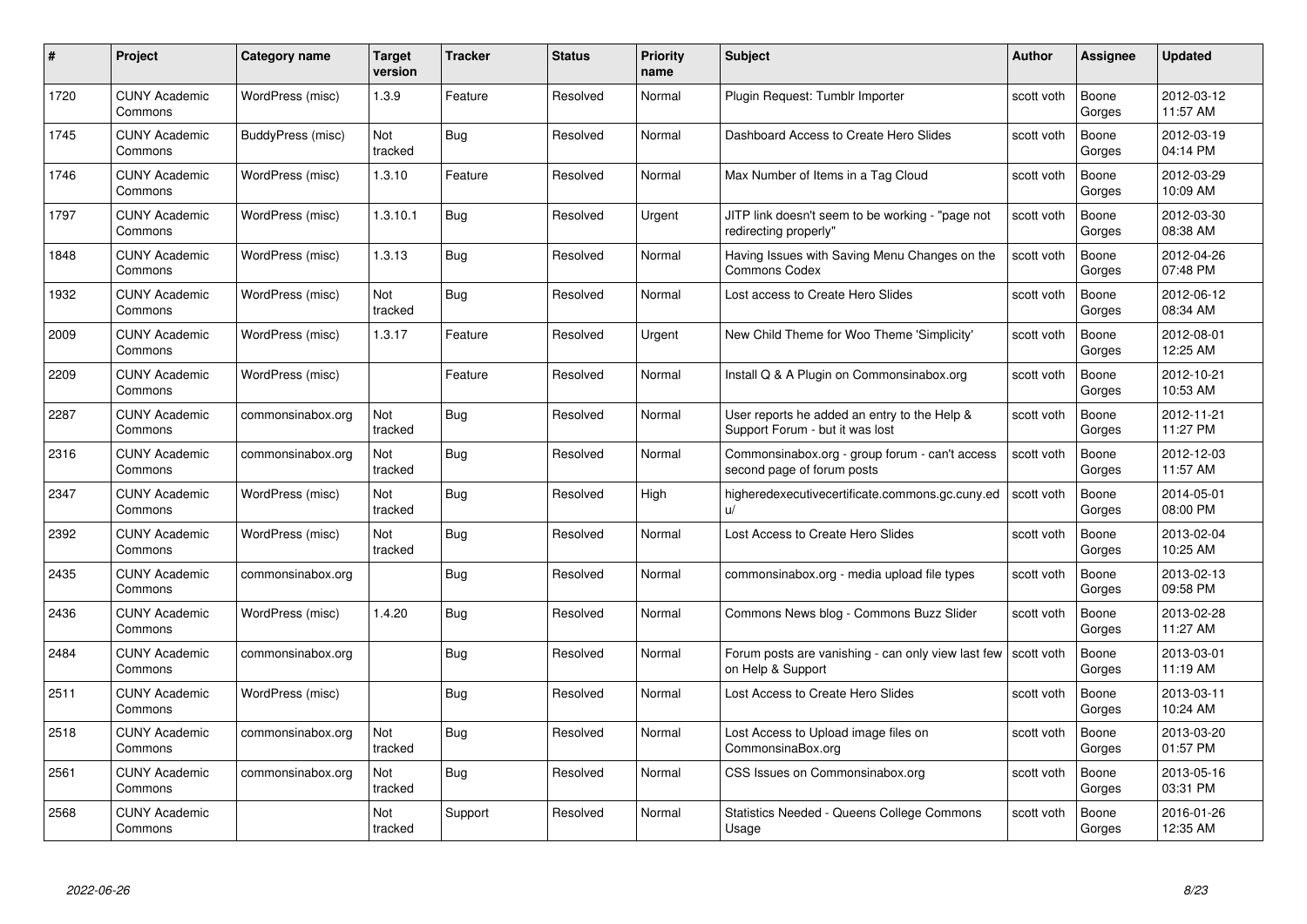| #    | Project                         | Category name     | Target<br>version | <b>Tracker</b> | <b>Status</b> | <b>Priority</b><br>name | <b>Subject</b>                                                                  | Author     | <b>Assignee</b> | <b>Updated</b>         |
|------|---------------------------------|-------------------|-------------------|----------------|---------------|-------------------------|---------------------------------------------------------------------------------|------------|-----------------|------------------------|
| 1720 | <b>CUNY Academic</b><br>Commons | WordPress (misc)  | 1.3.9             | Feature        | Resolved      | Normal                  | Plugin Request: Tumblr Importer                                                 | scott voth | Boone<br>Gorges | 2012-03-12<br>11:57 AM |
| 1745 | <b>CUNY Academic</b><br>Commons | BuddyPress (misc) | Not<br>tracked    | Bug            | Resolved      | Normal                  | Dashboard Access to Create Hero Slides                                          | scott voth | Boone<br>Gorges | 2012-03-19<br>04:14 PM |
| 1746 | <b>CUNY Academic</b><br>Commons | WordPress (misc)  | 1.3.10            | Feature        | Resolved      | Normal                  | Max Number of Items in a Tag Cloud                                              | scott voth | Boone<br>Gorges | 2012-03-29<br>10:09 AM |
| 1797 | <b>CUNY Academic</b><br>Commons | WordPress (misc)  | 1.3.10.1          | Bug            | Resolved      | Urgent                  | JITP link doesn't seem to be working - "page not<br>redirecting properly"       | scott voth | Boone<br>Gorges | 2012-03-30<br>08:38 AM |
| 1848 | <b>CUNY Academic</b><br>Commons | WordPress (misc)  | 1.3.13            | <b>Bug</b>     | Resolved      | Normal                  | Having Issues with Saving Menu Changes on the<br><b>Commons Codex</b>           | scott voth | Boone<br>Gorges | 2012-04-26<br>07:48 PM |
| 1932 | <b>CUNY Academic</b><br>Commons | WordPress (misc)  | Not<br>tracked    | <b>Bug</b>     | Resolved      | Normal                  | Lost access to Create Hero Slides                                               | scott voth | Boone<br>Gorges | 2012-06-12<br>08:34 AM |
| 2009 | <b>CUNY Academic</b><br>Commons | WordPress (misc)  | 1.3.17            | Feature        | Resolved      | Urgent                  | New Child Theme for Woo Theme 'Simplicity'                                      | scott voth | Boone<br>Gorges | 2012-08-01<br>12:25 AM |
| 2209 | <b>CUNY Academic</b><br>Commons | WordPress (misc)  |                   | Feature        | Resolved      | Normal                  | Install Q & A Plugin on Commonsinabox.org                                       | scott voth | Boone<br>Gorges | 2012-10-21<br>10:53 AM |
| 2287 | <b>CUNY Academic</b><br>Commons | commonsinabox.org | Not<br>tracked    | Bug            | Resolved      | Normal                  | User reports he added an entry to the Help &<br>Support Forum - but it was lost | scott voth | Boone<br>Gorges | 2012-11-21<br>11:27 PM |
| 2316 | <b>CUNY Academic</b><br>Commons | commonsinabox.org | Not<br>tracked    | <b>Bug</b>     | Resolved      | Normal                  | Commonsinabox.org - group forum - can't access<br>second page of forum posts    | scott voth | Boone<br>Gorges | 2012-12-03<br>11:57 AM |
| 2347 | <b>CUNY Academic</b><br>Commons | WordPress (misc)  | Not<br>tracked    | <b>Bug</b>     | Resolved      | High                    | higheredexecutivecertificate.commons.gc.cuny.ed<br>ΠŻ                           | scott voth | Boone<br>Gorges | 2014-05-01<br>08:00 PM |
| 2392 | <b>CUNY Academic</b><br>Commons | WordPress (misc)  | Not<br>tracked    | <b>Bug</b>     | Resolved      | Normal                  | Lost Access to Create Hero Slides                                               | scott voth | Boone<br>Gorges | 2013-02-04<br>10:25 AM |
| 2435 | <b>CUNY Academic</b><br>Commons | commonsinabox.org |                   | <b>Bug</b>     | Resolved      | Normal                  | commonsinabox.org - media upload file types                                     | scott voth | Boone<br>Gorges | 2013-02-13<br>09:58 PM |
| 2436 | <b>CUNY Academic</b><br>Commons | WordPress (misc)  | 1.4.20            | <b>Bug</b>     | Resolved      | Normal                  | Commons News blog - Commons Buzz Slider                                         | scott voth | Boone<br>Gorges | 2013-02-28<br>11:27 AM |
| 2484 | <b>CUNY Academic</b><br>Commons | commonsinabox.org |                   | Bug            | Resolved      | Normal                  | Forum posts are vanishing - can only view last few<br>on Help & Support         | scott voth | Boone<br>Gorges | 2013-03-01<br>11:19 AM |
| 2511 | <b>CUNY Academic</b><br>Commons | WordPress (misc)  |                   | Bug            | Resolved      | Normal                  | Lost Access to Create Hero Slides                                               | scott voth | Boone<br>Gorges | 2013-03-11<br>10:24 AM |
| 2518 | <b>CUNY Academic</b><br>Commons | commonsinabox.org | Not<br>tracked    | Bug            | Resolved      | Normal                  | Lost Access to Upload image files on<br>CommonsinaBox.org                       | scott voth | Boone<br>Gorges | 2013-03-20<br>01:57 PM |
| 2561 | <b>CUNY Academic</b><br>Commons | commonsinabox.org | Not<br>tracked    | <b>Bug</b>     | Resolved      | Normal                  | CSS Issues on Commonsinabox.org                                                 | scott voth | Boone<br>Gorges | 2013-05-16<br>03:31 PM |
| 2568 | <b>CUNY Academic</b><br>Commons |                   | Not<br>tracked    | Support        | Resolved      | Normal                  | Statistics Needed - Queens College Commons<br>Usage                             | scott voth | Boone<br>Gorges | 2016-01-26<br>12:35 AM |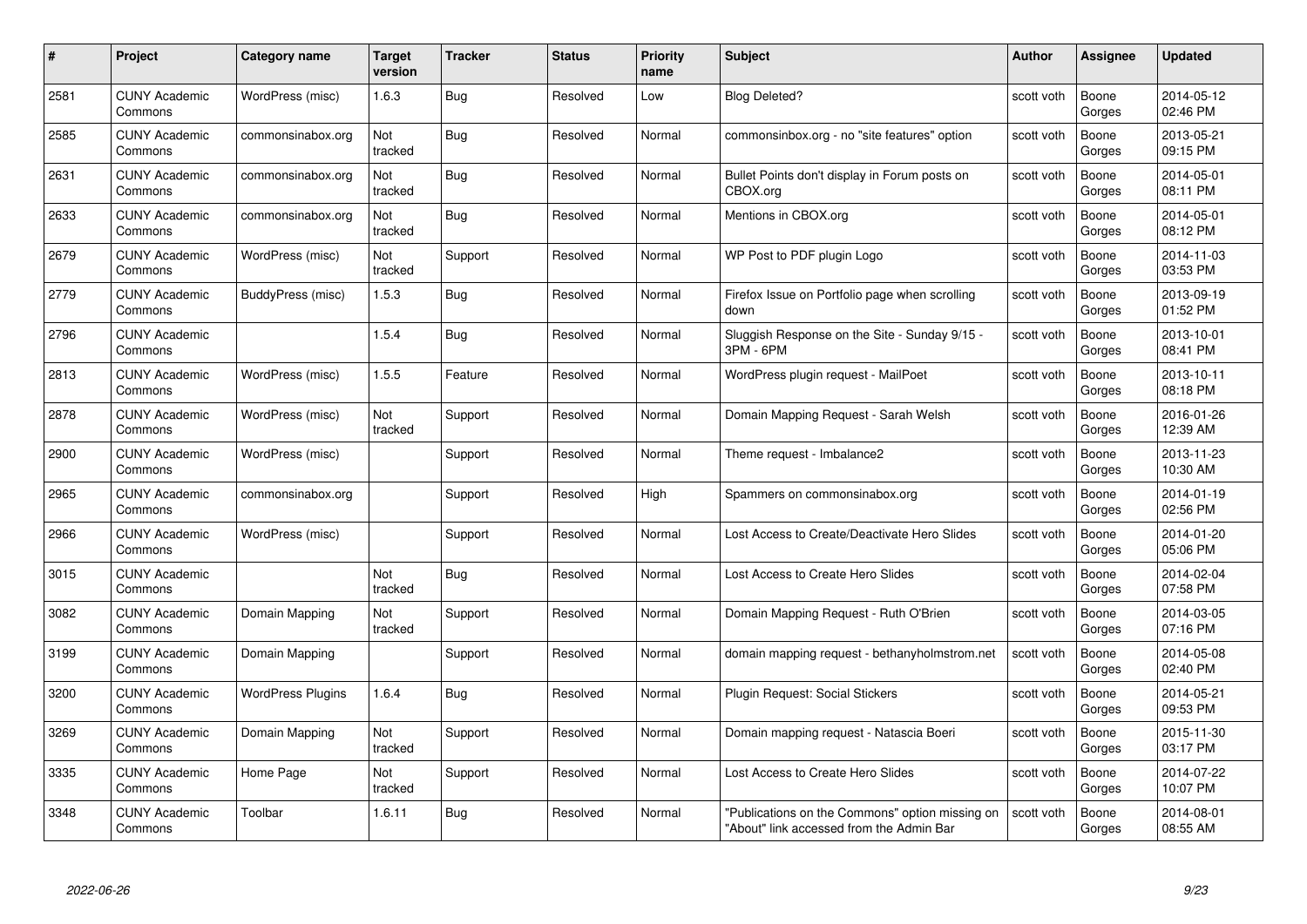| #    | Project                         | <b>Category name</b>     | Target<br>version     | <b>Tracker</b> | <b>Status</b> | <b>Priority</b><br>name | <b>Subject</b>                                                                              | <b>Author</b> | <b>Assignee</b> | <b>Updated</b>         |
|------|---------------------------------|--------------------------|-----------------------|----------------|---------------|-------------------------|---------------------------------------------------------------------------------------------|---------------|-----------------|------------------------|
| 2581 | <b>CUNY Academic</b><br>Commons | WordPress (misc)         | 1.6.3                 | <b>Bug</b>     | Resolved      | Low                     | <b>Blog Deleted?</b>                                                                        | scott voth    | Boone<br>Gorges | 2014-05-12<br>02:46 PM |
| 2585 | <b>CUNY Academic</b><br>Commons | commonsinabox.org        | Not<br>tracked        | Bug            | Resolved      | Normal                  | commonsinbox.org - no "site features" option                                                | scott voth    | Boone<br>Gorges | 2013-05-21<br>09:15 PM |
| 2631 | <b>CUNY Academic</b><br>Commons | commonsinabox.org        | Not<br>tracked        | Bug            | Resolved      | Normal                  | Bullet Points don't display in Forum posts on<br>CBOX.org                                   | scott voth    | Boone<br>Gorges | 2014-05-01<br>08:11 PM |
| 2633 | <b>CUNY Academic</b><br>Commons | commonsinabox.org        | Not<br>tracked        | <b>Bug</b>     | Resolved      | Normal                  | Mentions in CBOX.org                                                                        | scott voth    | Boone<br>Gorges | 2014-05-01<br>08:12 PM |
| 2679 | <b>CUNY Academic</b><br>Commons | WordPress (misc)         | <b>Not</b><br>tracked | Support        | Resolved      | Normal                  | WP Post to PDF plugin Logo                                                                  | scott voth    | Boone<br>Gorges | 2014-11-03<br>03:53 PM |
| 2779 | <b>CUNY Academic</b><br>Commons | BuddyPress (misc)        | 1.5.3                 | Bug            | Resolved      | Normal                  | Firefox Issue on Portfolio page when scrolling<br>down                                      | scott voth    | Boone<br>Gorges | 2013-09-19<br>01:52 PM |
| 2796 | <b>CUNY Academic</b><br>Commons |                          | 1.5.4                 | Bug            | Resolved      | Normal                  | Sluggish Response on the Site - Sunday 9/15 -<br>3PM - 6PM                                  | scott voth    | Boone<br>Gorges | 2013-10-01<br>08:41 PM |
| 2813 | <b>CUNY Academic</b><br>Commons | WordPress (misc)         | 1.5.5                 | Feature        | Resolved      | Normal                  | WordPress plugin request - MailPoet                                                         | scott voth    | Boone<br>Gorges | 2013-10-11<br>08:18 PM |
| 2878 | <b>CUNY Academic</b><br>Commons | WordPress (misc)         | Not<br>tracked        | Support        | Resolved      | Normal                  | Domain Mapping Request - Sarah Welsh                                                        | scott voth    | Boone<br>Gorges | 2016-01-26<br>12:39 AM |
| 2900 | <b>CUNY Academic</b><br>Commons | WordPress (misc)         |                       | Support        | Resolved      | Normal                  | Theme request - Imbalance2                                                                  | scott voth    | Boone<br>Gorges | 2013-11-23<br>10:30 AM |
| 2965 | <b>CUNY Academic</b><br>Commons | commonsinabox.org        |                       | Support        | Resolved      | High                    | Spammers on commonsinabox.org                                                               | scott voth    | Boone<br>Gorges | 2014-01-19<br>02:56 PM |
| 2966 | <b>CUNY Academic</b><br>Commons | WordPress (misc)         |                       | Support        | Resolved      | Normal                  | Lost Access to Create/Deactivate Hero Slides                                                | scott voth    | Boone<br>Gorges | 2014-01-20<br>05:06 PM |
| 3015 | <b>CUNY Academic</b><br>Commons |                          | Not<br>tracked        | <b>Bug</b>     | Resolved      | Normal                  | Lost Access to Create Hero Slides                                                           | scott voth    | Boone<br>Gorges | 2014-02-04<br>07:58 PM |
| 3082 | <b>CUNY Academic</b><br>Commons | Domain Mapping           | Not<br>tracked        | Support        | Resolved      | Normal                  | Domain Mapping Request - Ruth O'Brien                                                       | scott voth    | Boone<br>Gorges | 2014-03-05<br>07:16 PM |
| 3199 | CUNY Academic<br>Commons        | Domain Mapping           |                       | Support        | Resolved      | Normal                  | domain mapping request - bethanyholmstrom.net                                               | scott voth    | Boone<br>Gorges | 2014-05-08<br>02:40 PM |
| 3200 | <b>CUNY Academic</b><br>Commons | <b>WordPress Plugins</b> | 1.6.4                 | Bug            | Resolved      | Normal                  | Plugin Request: Social Stickers                                                             | scott voth    | Boone<br>Gorges | 2014-05-21<br>09:53 PM |
| 3269 | <b>CUNY Academic</b><br>Commons | Domain Mapping           | Not<br>tracked        | Support        | Resolved      | Normal                  | Domain mapping request - Natascia Boeri                                                     | scott voth    | Boone<br>Gorges | 2015-11-30<br>03:17 PM |
| 3335 | <b>CUNY Academic</b><br>Commons | Home Page                | Not<br>tracked        | Support        | Resolved      | Normal                  | Lost Access to Create Hero Slides                                                           | scott voth    | Boone<br>Gorges | 2014-07-22<br>10:07 PM |
| 3348 | CUNY Academic<br>Commons        | Toolbar                  | 1.6.11                | Bug            | Resolved      | Normal                  | "Publications on the Commons" option missing on<br>"About" link accessed from the Admin Bar | scott voth    | Boone<br>Gorges | 2014-08-01<br>08:55 AM |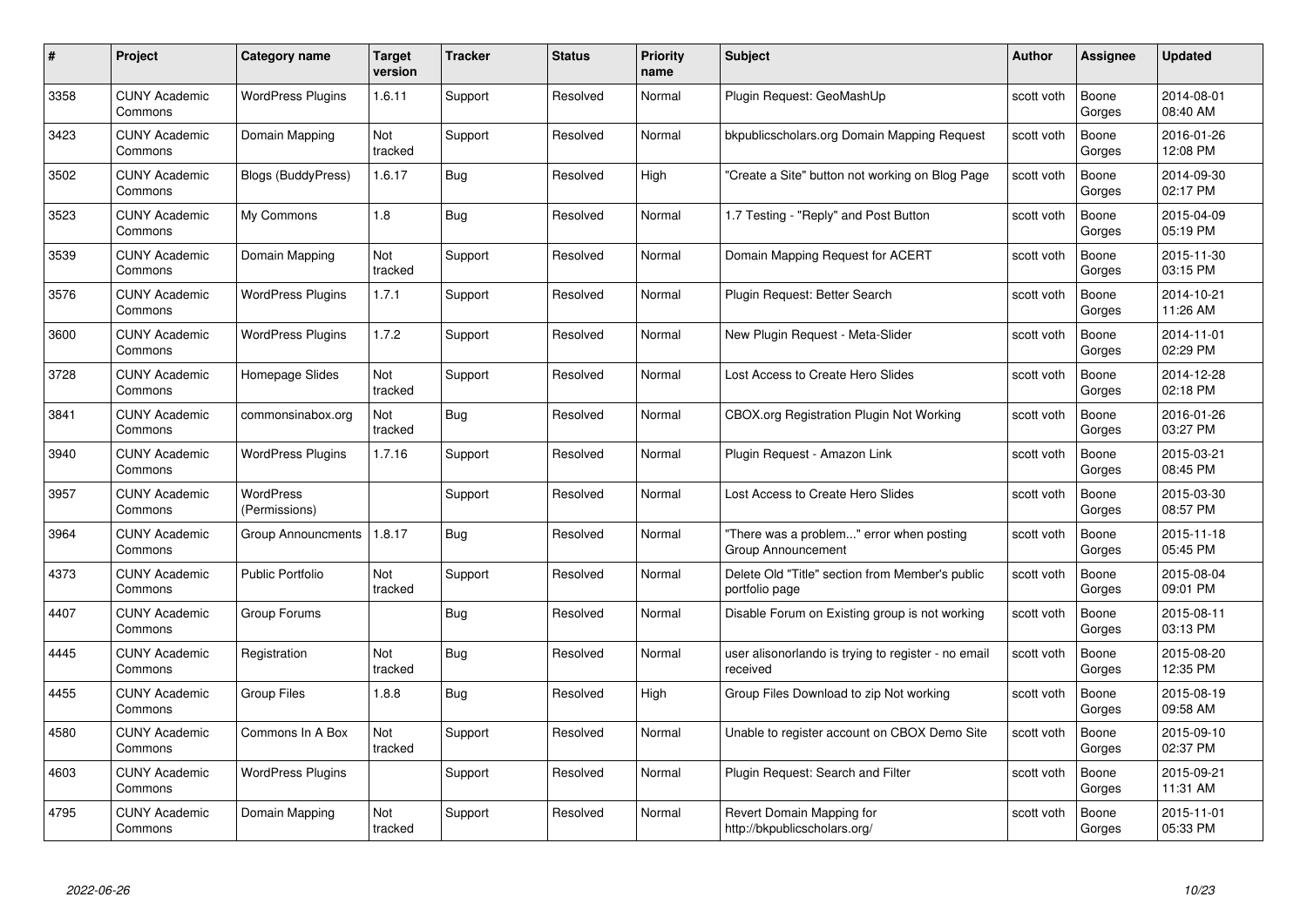| #    | Project                         | <b>Category name</b>              | Target<br>version | <b>Tracker</b> | <b>Status</b> | <b>Priority</b><br>name | <b>Subject</b>                                                    | <b>Author</b> | <b>Assignee</b> | <b>Updated</b>         |
|------|---------------------------------|-----------------------------------|-------------------|----------------|---------------|-------------------------|-------------------------------------------------------------------|---------------|-----------------|------------------------|
| 3358 | <b>CUNY Academic</b><br>Commons | <b>WordPress Plugins</b>          | 1.6.11            | Support        | Resolved      | Normal                  | Plugin Request: GeoMashUp                                         | scott voth    | Boone<br>Gorges | 2014-08-01<br>08:40 AM |
| 3423 | <b>CUNY Academic</b><br>Commons | Domain Mapping                    | Not<br>tracked    | Support        | Resolved      | Normal                  | bkpublicscholars.org Domain Mapping Request                       | scott voth    | Boone<br>Gorges | 2016-01-26<br>12:08 PM |
| 3502 | <b>CUNY Academic</b><br>Commons | <b>Blogs (BuddyPress)</b>         | 1.6.17            | <b>Bug</b>     | Resolved      | High                    | "Create a Site" button not working on Blog Page                   | scott voth    | Boone<br>Gorges | 2014-09-30<br>02:17 PM |
| 3523 | <b>CUNY Academic</b><br>Commons | My Commons                        | 1.8               | <b>Bug</b>     | Resolved      | Normal                  | 1.7 Testing - "Reply" and Post Button                             | scott voth    | Boone<br>Gorges | 2015-04-09<br>05:19 PM |
| 3539 | CUNY Academic<br>Commons        | Domain Mapping                    | Not<br>tracked    | Support        | Resolved      | Normal                  | Domain Mapping Request for ACERT                                  | scott voth    | Boone<br>Gorges | 2015-11-30<br>03:15 PM |
| 3576 | <b>CUNY Academic</b><br>Commons | <b>WordPress Plugins</b>          | 1.7.1             | Support        | Resolved      | Normal                  | Plugin Request: Better Search                                     | scott voth    | Boone<br>Gorges | 2014-10-21<br>11:26 AM |
| 3600 | <b>CUNY Academic</b><br>Commons | <b>WordPress Plugins</b>          | 1.7.2             | Support        | Resolved      | Normal                  | New Plugin Request - Meta-Slider                                  | scott voth    | Boone<br>Gorges | 2014-11-01<br>02:29 PM |
| 3728 | <b>CUNY Academic</b><br>Commons | Homepage Slides                   | Not<br>tracked    | Support        | Resolved      | Normal                  | Lost Access to Create Hero Slides                                 | scott voth    | Boone<br>Gorges | 2014-12-28<br>02:18 PM |
| 3841 | <b>CUNY Academic</b><br>Commons | commonsinabox.org                 | Not<br>tracked    | <b>Bug</b>     | Resolved      | Normal                  | CBOX.org Registration Plugin Not Working                          | scott voth    | Boone<br>Gorges | 2016-01-26<br>03:27 PM |
| 3940 | <b>CUNY Academic</b><br>Commons | <b>WordPress Plugins</b>          | 1.7.16            | Support        | Resolved      | Normal                  | Plugin Request - Amazon Link                                      | scott voth    | Boone<br>Gorges | 2015-03-21<br>08:45 PM |
| 3957 | CUNY Academic<br>Commons        | <b>WordPress</b><br>(Permissions) |                   | Support        | Resolved      | Normal                  | Lost Access to Create Hero Slides                                 | scott voth    | Boone<br>Gorges | 2015-03-30<br>08:57 PM |
| 3964 | <b>CUNY Academic</b><br>Commons | <b>Group Announcments</b>         | 1.8.17            | <b>Bug</b>     | Resolved      | Normal                  | "There was a problem" error when posting<br>Group Announcement    | scott voth    | Boone<br>Gorges | 2015-11-18<br>05:45 PM |
| 4373 | <b>CUNY Academic</b><br>Commons | <b>Public Portfolio</b>           | Not<br>tracked    | Support        | Resolved      | Normal                  | Delete Old "Title" section from Member's public<br>portfolio page | scott voth    | Boone<br>Gorges | 2015-08-04<br>09:01 PM |
| 4407 | <b>CUNY Academic</b><br>Commons | Group Forums                      |                   | <b>Bug</b>     | Resolved      | Normal                  | Disable Forum on Existing group is not working                    | scott voth    | Boone<br>Gorges | 2015-08-11<br>03:13 PM |
| 4445 | <b>CUNY Academic</b><br>Commons | Registration                      | Not<br>tracked    | <b>Bug</b>     | Resolved      | Normal                  | user alisonorlando is trying to register - no email<br>received   | scott voth    | Boone<br>Gorges | 2015-08-20<br>12:35 PM |
| 4455 | <b>CUNY Academic</b><br>Commons | <b>Group Files</b>                | 1.8.8             | Bug            | Resolved      | High                    | Group Files Download to zip Not working                           | scott voth    | Boone<br>Gorges | 2015-08-19<br>09:58 AM |
| 4580 | <b>CUNY Academic</b><br>Commons | Commons In A Box                  | Not<br>tracked    | Support        | Resolved      | Normal                  | Unable to register account on CBOX Demo Site                      | scott voth    | Boone<br>Gorges | 2015-09-10<br>02:37 PM |
| 4603 | <b>CUNY Academic</b><br>Commons | <b>WordPress Plugins</b>          |                   | Support        | Resolved      | Normal                  | Plugin Request: Search and Filter                                 | scott voth    | Boone<br>Gorges | 2015-09-21<br>11:31 AM |
| 4795 | CUNY Academic<br>Commons        | Domain Mapping                    | Not<br>tracked    | Support        | Resolved      | Normal                  | Revert Domain Mapping for<br>http://bkpublicscholars.org/         | scott voth    | Boone<br>Gorges | 2015-11-01<br>05:33 PM |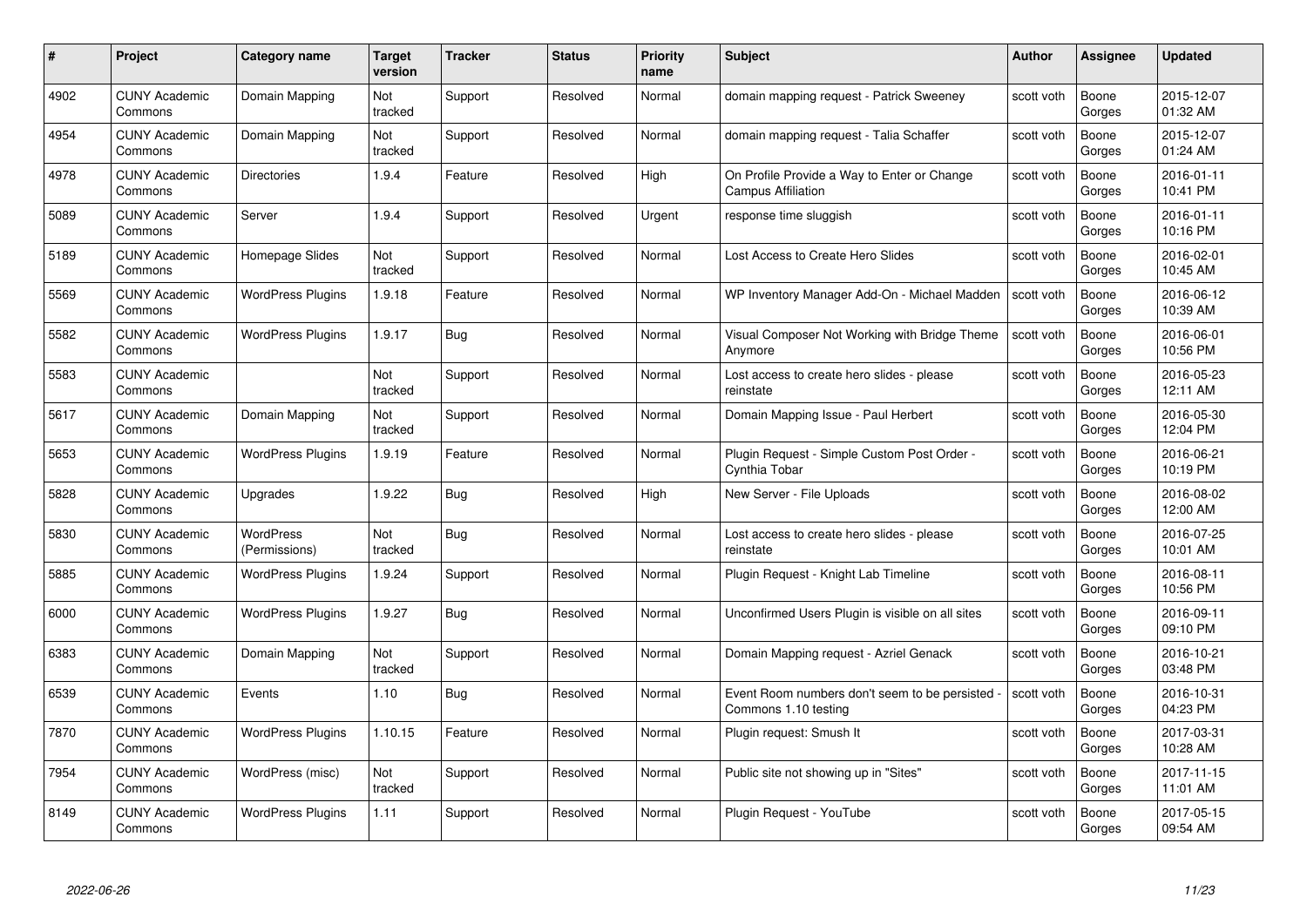| #    | Project                         | <b>Category name</b>       | Target<br>version | <b>Tracker</b> | <b>Status</b> | <b>Priority</b><br>name | <b>Subject</b>                                                           | <b>Author</b> | <b>Assignee</b> | <b>Updated</b>         |
|------|---------------------------------|----------------------------|-------------------|----------------|---------------|-------------------------|--------------------------------------------------------------------------|---------------|-----------------|------------------------|
| 4902 | <b>CUNY Academic</b><br>Commons | Domain Mapping             | Not<br>tracked    | Support        | Resolved      | Normal                  | domain mapping request - Patrick Sweeney                                 | scott voth    | Boone<br>Gorges | 2015-12-07<br>01:32 AM |
| 4954 | <b>CUNY Academic</b><br>Commons | Domain Mapping             | Not<br>tracked    | Support        | Resolved      | Normal                  | domain mapping request - Talia Schaffer                                  | scott voth    | Boone<br>Gorges | 2015-12-07<br>01:24 AM |
| 4978 | <b>CUNY Academic</b><br>Commons | <b>Directories</b>         | 1.9.4             | Feature        | Resolved      | High                    | On Profile Provide a Way to Enter or Change<br><b>Campus Affiliation</b> | scott voth    | Boone<br>Gorges | 2016-01-11<br>10:41 PM |
| 5089 | <b>CUNY Academic</b><br>Commons | Server                     | 1.9.4             | Support        | Resolved      | Urgent                  | response time sluggish                                                   | scott voth    | Boone<br>Gorges | 2016-01-11<br>10:16 PM |
| 5189 | CUNY Academic<br>Commons        | Homepage Slides            | Not<br>tracked    | Support        | Resolved      | Normal                  | Lost Access to Create Hero Slides                                        | scott voth    | Boone<br>Gorges | 2016-02-01<br>10:45 AM |
| 5569 | <b>CUNY Academic</b><br>Commons | <b>WordPress Plugins</b>   | 1.9.18            | Feature        | Resolved      | Normal                  | WP Inventory Manager Add-On - Michael Madden                             | scott voth    | Boone<br>Gorges | 2016-06-12<br>10:39 AM |
| 5582 | <b>CUNY Academic</b><br>Commons | <b>WordPress Plugins</b>   | 1.9.17            | Bug            | Resolved      | Normal                  | Visual Composer Not Working with Bridge Theme<br>Anymore                 | scott voth    | Boone<br>Gorges | 2016-06-01<br>10:56 PM |
| 5583 | <b>CUNY Academic</b><br>Commons |                            | Not<br>tracked    | Support        | Resolved      | Normal                  | Lost access to create hero slides - please<br>reinstate                  | scott voth    | Boone<br>Gorges | 2016-05-23<br>12:11 AM |
| 5617 | <b>CUNY Academic</b><br>Commons | Domain Mapping             | Not<br>tracked    | Support        | Resolved      | Normal                  | Domain Mapping Issue - Paul Herbert                                      | scott voth    | Boone<br>Gorges | 2016-05-30<br>12:04 PM |
| 5653 | <b>CUNY Academic</b><br>Commons | <b>WordPress Plugins</b>   | 1.9.19            | Feature        | Resolved      | Normal                  | Plugin Request - Simple Custom Post Order -<br>Cynthia Tobar             | scott voth    | Boone<br>Gorges | 2016-06-21<br>10:19 PM |
| 5828 | CUNY Academic<br>Commons        | Upgrades                   | 1.9.22            | <b>Bug</b>     | Resolved      | High                    | New Server - File Uploads                                                | scott voth    | Boone<br>Gorges | 2016-08-02<br>12:00 AM |
| 5830 | <b>CUNY Academic</b><br>Commons | WordPress<br>(Permissions) | Not<br>tracked    | <b>Bug</b>     | Resolved      | Normal                  | Lost access to create hero slides - please<br>reinstate                  | scott voth    | Boone<br>Gorges | 2016-07-25<br>10:01 AM |
| 5885 | <b>CUNY Academic</b><br>Commons | <b>WordPress Plugins</b>   | 1.9.24            | Support        | Resolved      | Normal                  | Plugin Request - Knight Lab Timeline                                     | scott voth    | Boone<br>Gorges | 2016-08-11<br>10:56 PM |
| 6000 | <b>CUNY Academic</b><br>Commons | <b>WordPress Plugins</b>   | 1.9.27            | <b>Bug</b>     | Resolved      | Normal                  | Unconfirmed Users Plugin is visible on all sites                         | scott voth    | Boone<br>Gorges | 2016-09-11<br>09:10 PM |
| 6383 | <b>CUNY Academic</b><br>Commons | Domain Mapping             | Not<br>tracked    | Support        | Resolved      | Normal                  | Domain Mapping request - Azriel Genack                                   | scott voth    | Boone<br>Gorges | 2016-10-21<br>03:48 PM |
| 6539 | <b>CUNY Academic</b><br>Commons | Events                     | 1.10              | Bug            | Resolved      | Normal                  | Event Room numbers don't seem to be persisted<br>Commons 1.10 testing    | scott voth    | Boone<br>Gorges | 2016-10-31<br>04:23 PM |
| 7870 | <b>CUNY Academic</b><br>Commons | <b>WordPress Plugins</b>   | 1.10.15           | Feature        | Resolved      | Normal                  | Plugin request: Smush It                                                 | scott voth    | Boone<br>Gorges | 2017-03-31<br>10:28 AM |
| 7954 | <b>CUNY Academic</b><br>Commons | WordPress (misc)           | Not<br>tracked    | Support        | Resolved      | Normal                  | Public site not showing up in "Sites"                                    | scott voth    | Boone<br>Gorges | 2017-11-15<br>11:01 AM |
| 8149 | CUNY Academic<br>Commons        | <b>WordPress Plugins</b>   | 1.11              | Support        | Resolved      | Normal                  | Plugin Reguest - YouTube                                                 | scott voth    | Boone<br>Gorges | 2017-05-15<br>09:54 AM |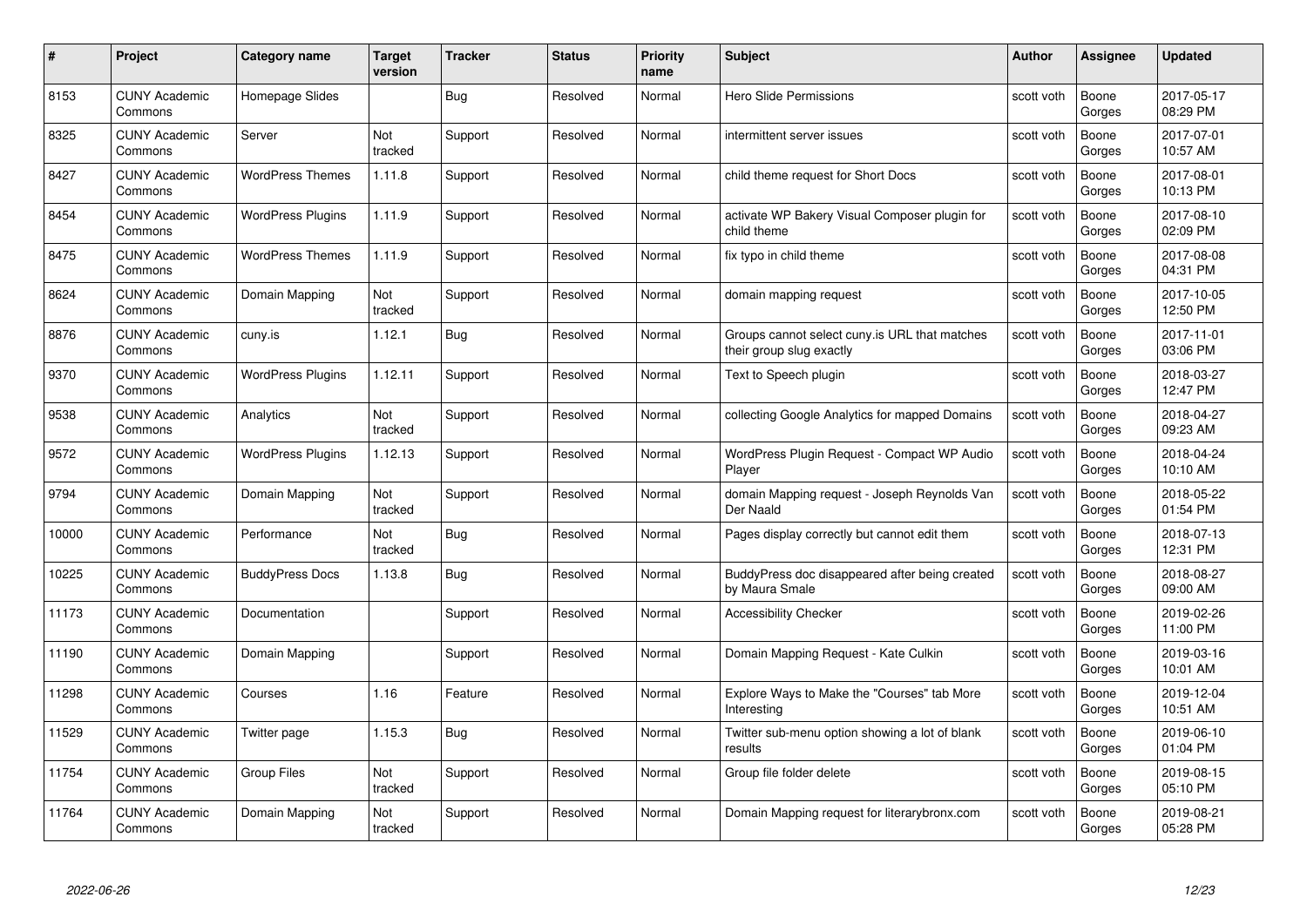| #     | Project                         | <b>Category name</b>     | Target<br>version | <b>Tracker</b> | <b>Status</b> | <b>Priority</b><br>name | <b>Subject</b>                                                            | <b>Author</b> | <b>Assignee</b> | <b>Updated</b>         |
|-------|---------------------------------|--------------------------|-------------------|----------------|---------------|-------------------------|---------------------------------------------------------------------------|---------------|-----------------|------------------------|
| 8153  | <b>CUNY Academic</b><br>Commons | Homepage Slides          |                   | Bug            | Resolved      | Normal                  | Hero Slide Permissions                                                    | scott voth    | Boone<br>Gorges | 2017-05-17<br>08:29 PM |
| 8325  | <b>CUNY Academic</b><br>Commons | Server                   | Not<br>tracked    | Support        | Resolved      | Normal                  | intermittent server issues                                                | scott voth    | Boone<br>Gorges | 2017-07-01<br>10:57 AM |
| 8427  | <b>CUNY Academic</b><br>Commons | <b>WordPress Themes</b>  | 1.11.8            | Support        | Resolved      | Normal                  | child theme request for Short Docs                                        | scott voth    | Boone<br>Gorges | 2017-08-01<br>10:13 PM |
| 8454  | <b>CUNY Academic</b><br>Commons | <b>WordPress Plugins</b> | 1.11.9            | Support        | Resolved      | Normal                  | activate WP Bakery Visual Composer plugin for<br>child theme              | scott voth    | Boone<br>Gorges | 2017-08-10<br>02:09 PM |
| 8475  | CUNY Academic<br>Commons        | <b>WordPress Themes</b>  | 1.11.9            | Support        | Resolved      | Normal                  | fix typo in child theme                                                   | scott voth    | Boone<br>Gorges | 2017-08-08<br>04:31 PM |
| 8624  | <b>CUNY Academic</b><br>Commons | Domain Mapping           | Not<br>tracked    | Support        | Resolved      | Normal                  | domain mapping request                                                    | scott voth    | Boone<br>Gorges | 2017-10-05<br>12:50 PM |
| 8876  | <b>CUNY Academic</b><br>Commons | cuny.is                  | 1.12.1            | Bug            | Resolved      | Normal                  | Groups cannot select cuny.is URL that matches<br>their group slug exactly | scott voth    | Boone<br>Gorges | 2017-11-01<br>03:06 PM |
| 9370  | <b>CUNY Academic</b><br>Commons | <b>WordPress Plugins</b> | 1.12.11           | Support        | Resolved      | Normal                  | Text to Speech plugin                                                     | scott voth    | Boone<br>Gorges | 2018-03-27<br>12:47 PM |
| 9538  | <b>CUNY Academic</b><br>Commons | Analytics                | Not<br>tracked    | Support        | Resolved      | Normal                  | collecting Google Analytics for mapped Domains                            | scott voth    | Boone<br>Gorges | 2018-04-27<br>09:23 AM |
| 9572  | <b>CUNY Academic</b><br>Commons | <b>WordPress Plugins</b> | 1.12.13           | Support        | Resolved      | Normal                  | WordPress Plugin Request - Compact WP Audio<br>Player                     | scott voth    | Boone<br>Gorges | 2018-04-24<br>10:10 AM |
| 9794  | CUNY Academic<br>Commons        | Domain Mapping           | Not<br>tracked    | Support        | Resolved      | Normal                  | domain Mapping request - Joseph Reynolds Van<br>Der Naald                 | scott voth    | Boone<br>Gorges | 2018-05-22<br>01:54 PM |
| 10000 | <b>CUNY Academic</b><br>Commons | Performance              | Not<br>tracked    | Bug            | Resolved      | Normal                  | Pages display correctly but cannot edit them                              | scott voth    | Boone<br>Gorges | 2018-07-13<br>12:31 PM |
| 10225 | <b>CUNY Academic</b><br>Commons | <b>BuddyPress Docs</b>   | 1.13.8            | <b>Bug</b>     | Resolved      | Normal                  | BuddyPress doc disappeared after being created<br>by Maura Smale          | scott voth    | Boone<br>Gorges | 2018-08-27<br>09:00 AM |
| 11173 | <b>CUNY Academic</b><br>Commons | Documentation            |                   | Support        | Resolved      | Normal                  | <b>Accessibility Checker</b>                                              | scott voth    | Boone<br>Gorges | 2019-02-26<br>11:00 PM |
| 11190 | <b>CUNY Academic</b><br>Commons | Domain Mapping           |                   | Support        | Resolved      | Normal                  | Domain Mapping Request - Kate Culkin                                      | scott voth    | Boone<br>Gorges | 2019-03-16<br>10:01 AM |
| 11298 | <b>CUNY Academic</b><br>Commons | Courses                  | 1.16              | Feature        | Resolved      | Normal                  | Explore Ways to Make the "Courses" tab More<br>Interesting                | scott voth    | Boone<br>Gorges | 2019-12-04<br>10:51 AM |
| 11529 | <b>CUNY Academic</b><br>Commons | Twitter page             | 1.15.3            | <b>Bug</b>     | Resolved      | Normal                  | Twitter sub-menu option showing a lot of blank<br>results                 | scott voth    | Boone<br>Gorges | 2019-06-10<br>01:04 PM |
| 11754 | <b>CUNY Academic</b><br>Commons | <b>Group Files</b>       | Not<br>tracked    | Support        | Resolved      | Normal                  | Group file folder delete                                                  | scott voth    | Boone<br>Gorges | 2019-08-15<br>05:10 PM |
| 11764 | CUNY Academic<br>Commons        | Domain Mapping           | Not<br>tracked    | Support        | Resolved      | Normal                  | Domain Mapping request for literarybronx.com                              | scott voth    | Boone<br>Gorges | 2019-08-21<br>05:28 PM |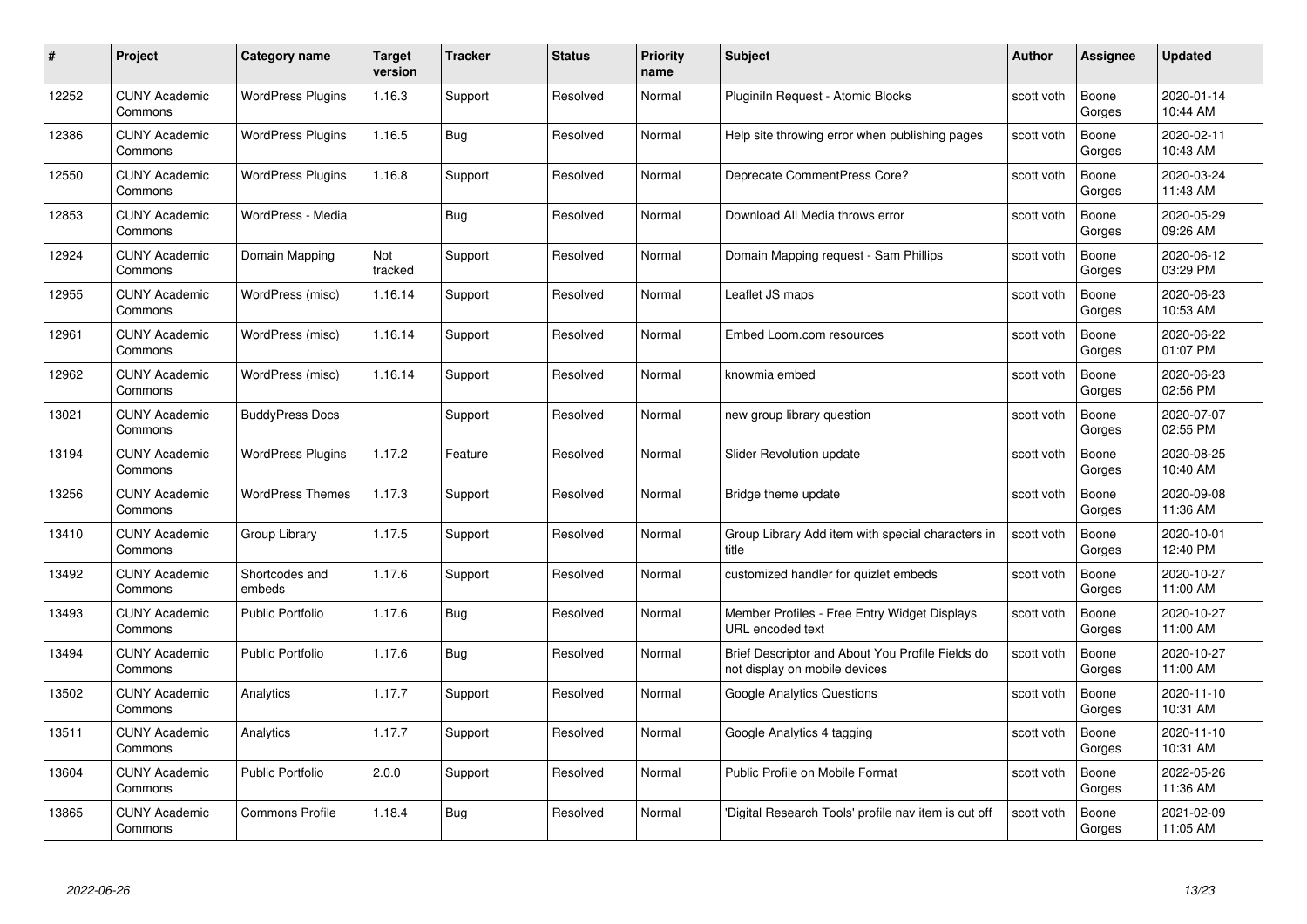| #     | Project                         | <b>Category name</b>     | <b>Target</b><br>version | <b>Tracker</b> | <b>Status</b> | <b>Priority</b><br>name | <b>Subject</b>                                                                    | <b>Author</b> | <b>Assignee</b> | <b>Updated</b>         |
|-------|---------------------------------|--------------------------|--------------------------|----------------|---------------|-------------------------|-----------------------------------------------------------------------------------|---------------|-----------------|------------------------|
| 12252 | <b>CUNY Academic</b><br>Commons | <b>WordPress Plugins</b> | 1.16.3                   | Support        | Resolved      | Normal                  | Pluginiln Request - Atomic Blocks                                                 | scott voth    | Boone<br>Gorges | 2020-01-14<br>10:44 AM |
| 12386 | <b>CUNY Academic</b><br>Commons | <b>WordPress Plugins</b> | 1.16.5                   | Bug            | Resolved      | Normal                  | Help site throwing error when publishing pages                                    | scott voth    | Boone<br>Gorges | 2020-02-11<br>10:43 AM |
| 12550 | <b>CUNY Academic</b><br>Commons | <b>WordPress Plugins</b> | 1.16.8                   | Support        | Resolved      | Normal                  | Deprecate CommentPress Core?                                                      | scott voth    | Boone<br>Gorges | 2020-03-24<br>11:43 AM |
| 12853 | <b>CUNY Academic</b><br>Commons | WordPress - Media        |                          | Bug            | Resolved      | Normal                  | Download All Media throws error                                                   | scott voth    | Boone<br>Gorges | 2020-05-29<br>09:26 AM |
| 12924 | <b>CUNY Academic</b><br>Commons | Domain Mapping           | Not<br>tracked           | Support        | Resolved      | Normal                  | Domain Mapping request - Sam Phillips                                             | scott voth    | Boone<br>Gorges | 2020-06-12<br>03:29 PM |
| 12955 | <b>CUNY Academic</b><br>Commons | WordPress (misc)         | 1.16.14                  | Support        | Resolved      | Normal                  | Leaflet JS maps                                                                   | scott voth    | Boone<br>Gorges | 2020-06-23<br>10:53 AM |
| 12961 | <b>CUNY Academic</b><br>Commons | WordPress (misc)         | 1.16.14                  | Support        | Resolved      | Normal                  | Embed Loom.com resources                                                          | scott voth    | Boone<br>Gorges | 2020-06-22<br>01:07 PM |
| 12962 | <b>CUNY Academic</b><br>Commons | WordPress (misc)         | 1.16.14                  | Support        | Resolved      | Normal                  | knowmia embed                                                                     | scott voth    | Boone<br>Gorges | 2020-06-23<br>02:56 PM |
| 13021 | <b>CUNY Academic</b><br>Commons | <b>BuddyPress Docs</b>   |                          | Support        | Resolved      | Normal                  | new group library question                                                        | scott voth    | Boone<br>Gorges | 2020-07-07<br>02:55 PM |
| 13194 | <b>CUNY Academic</b><br>Commons | <b>WordPress Plugins</b> | 1.17.2                   | Feature        | Resolved      | Normal                  | Slider Revolution update                                                          | scott voth    | Boone<br>Gorges | 2020-08-25<br>10:40 AM |
| 13256 | CUNY Academic<br>Commons        | <b>WordPress Themes</b>  | 1.17.3                   | Support        | Resolved      | Normal                  | Bridge theme update                                                               | scott voth    | Boone<br>Gorges | 2020-09-08<br>11:36 AM |
| 13410 | <b>CUNY Academic</b><br>Commons | Group Library            | 1.17.5                   | Support        | Resolved      | Normal                  | Group Library Add item with special characters in<br>title                        | scott voth    | Boone<br>Gorges | 2020-10-01<br>12:40 PM |
| 13492 | <b>CUNY Academic</b><br>Commons | Shortcodes and<br>embeds | 1.17.6                   | Support        | Resolved      | Normal                  | customized handler for quizlet embeds                                             | scott voth    | Boone<br>Gorges | 2020-10-27<br>11:00 AM |
| 13493 | <b>CUNY Academic</b><br>Commons | <b>Public Portfolio</b>  | 1.17.6                   | <b>Bug</b>     | Resolved      | Normal                  | Member Profiles - Free Entry Widget Displays<br>URL encoded text                  | scott voth    | Boone<br>Gorges | 2020-10-27<br>11:00 AM |
| 13494 | <b>CUNY Academic</b><br>Commons | Public Portfolio         | 1.17.6                   | Bug            | Resolved      | Normal                  | Brief Descriptor and About You Profile Fields do<br>not display on mobile devices | scott voth    | Boone<br>Gorges | 2020-10-27<br>11:00 AM |
| 13502 | <b>CUNY Academic</b><br>Commons | Analytics                | 1.17.7                   | Support        | Resolved      | Normal                  | <b>Google Analytics Questions</b>                                                 | scott voth    | Boone<br>Gorges | 2020-11-10<br>10:31 AM |
| 13511 | <b>CUNY Academic</b><br>Commons | Analytics                | 1.17.7                   | Support        | Resolved      | Normal                  | Google Analytics 4 tagging                                                        | scott voth    | Boone<br>Gorges | 2020-11-10<br>10:31 AM |
| 13604 | <b>CUNY Academic</b><br>Commons | <b>Public Portfolio</b>  | 2.0.0                    | Support        | Resolved      | Normal                  | Public Profile on Mobile Format                                                   | scott voth    | Boone<br>Gorges | 2022-05-26<br>11:36 AM |
| 13865 | <b>CUNY Academic</b><br>Commons | <b>Commons Profile</b>   | 1.18.4                   | <b>Bug</b>     | Resolved      | Normal                  | 'Digital Research Tools' profile nav item is cut off                              | scott voth    | Boone<br>Gorges | 2021-02-09<br>11:05 AM |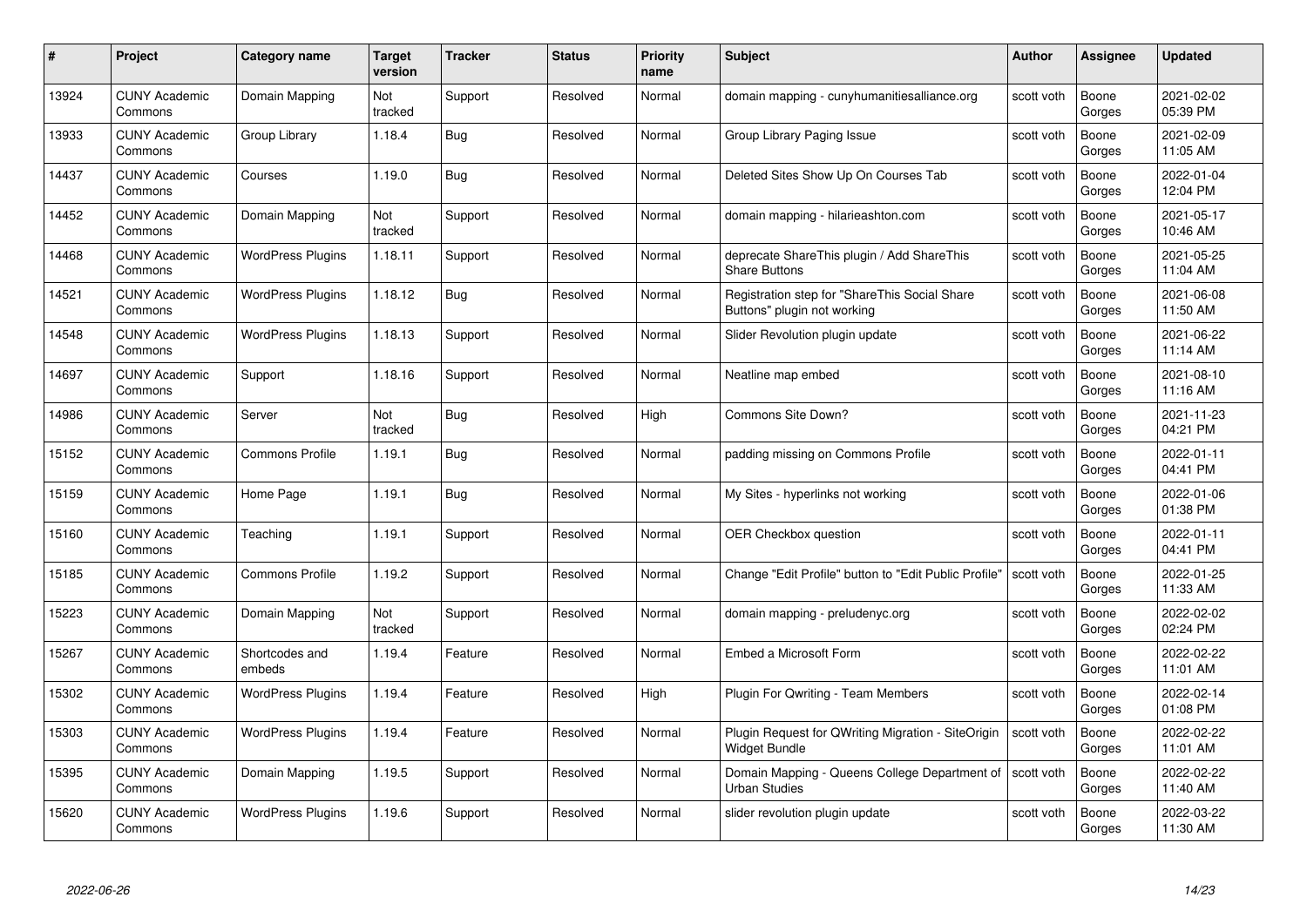| #     | Project                         | <b>Category name</b>     | Target<br>version | <b>Tracker</b> | <b>Status</b> | <b>Priority</b><br>name | <b>Subject</b>                                                               | <b>Author</b> | <b>Assignee</b> | <b>Updated</b>         |
|-------|---------------------------------|--------------------------|-------------------|----------------|---------------|-------------------------|------------------------------------------------------------------------------|---------------|-----------------|------------------------|
| 13924 | <b>CUNY Academic</b><br>Commons | Domain Mapping           | Not<br>tracked    | Support        | Resolved      | Normal                  | domain mapping - cunyhumanitiesalliance.org                                  | scott voth    | Boone<br>Gorges | 2021-02-02<br>05:39 PM |
| 13933 | <b>CUNY Academic</b><br>Commons | Group Library            | 1.18.4            | Bug            | Resolved      | Normal                  | Group Library Paging Issue                                                   | scott voth    | Boone<br>Gorges | 2021-02-09<br>11:05 AM |
| 14437 | <b>CUNY Academic</b><br>Commons | Courses                  | 1.19.0            | <b>Bug</b>     | Resolved      | Normal                  | Deleted Sites Show Up On Courses Tab                                         | scott voth    | Boone<br>Gorges | 2022-01-04<br>12:04 PM |
| 14452 | <b>CUNY Academic</b><br>Commons | Domain Mapping           | Not<br>tracked    | Support        | Resolved      | Normal                  | domain mapping - hilarieashton.com                                           | scott voth    | Boone<br>Gorges | 2021-05-17<br>10:46 AM |
| 14468 | <b>CUNY Academic</b><br>Commons | <b>WordPress Plugins</b> | 1.18.11           | Support        | Resolved      | Normal                  | deprecate ShareThis plugin / Add ShareThis<br><b>Share Buttons</b>           | scott voth    | Boone<br>Gorges | 2021-05-25<br>11:04 AM |
| 14521 | <b>CUNY Academic</b><br>Commons | <b>WordPress Plugins</b> | 1.18.12           | <b>Bug</b>     | Resolved      | Normal                  | Registration step for "ShareThis Social Share<br>Buttons" plugin not working | scott voth    | Boone<br>Gorges | 2021-06-08<br>11:50 AM |
| 14548 | <b>CUNY Academic</b><br>Commons | <b>WordPress Plugins</b> | 1.18.13           | Support        | Resolved      | Normal                  | Slider Revolution plugin update                                              | scott voth    | Boone<br>Gorges | 2021-06-22<br>11:14 AM |
| 14697 | <b>CUNY Academic</b><br>Commons | Support                  | 1.18.16           | Support        | Resolved      | Normal                  | Neatline map embed                                                           | scott voth    | Boone<br>Gorges | 2021-08-10<br>11:16 AM |
| 14986 | <b>CUNY Academic</b><br>Commons | Server                   | Not<br>tracked    | Bug            | Resolved      | High                    | Commons Site Down?                                                           | scott voth    | Boone<br>Gorges | 2021-11-23<br>04:21 PM |
| 15152 | <b>CUNY Academic</b><br>Commons | <b>Commons Profile</b>   | 1.19.1            | <b>Bug</b>     | Resolved      | Normal                  | padding missing on Commons Profile                                           | scott voth    | Boone<br>Gorges | 2022-01-11<br>04:41 PM |
| 15159 | CUNY Academic<br>Commons        | Home Page                | 1.19.1            | Bug            | Resolved      | Normal                  | My Sites - hyperlinks not working                                            | scott voth    | Boone<br>Gorges | 2022-01-06<br>01:38 PM |
| 15160 | <b>CUNY Academic</b><br>Commons | Teaching                 | 1.19.1            | Support        | Resolved      | Normal                  | <b>OER Checkbox question</b>                                                 | scott voth    | Boone<br>Gorges | 2022-01-11<br>04:41 PM |
| 15185 | <b>CUNY Academic</b><br>Commons | <b>Commons Profile</b>   | 1.19.2            | Support        | Resolved      | Normal                  | Change "Edit Profile" button to "Edit Public Profile"                        | scott voth    | Boone<br>Gorges | 2022-01-25<br>11:33 AM |
| 15223 | <b>CUNY Academic</b><br>Commons | Domain Mapping           | Not<br>tracked    | Support        | Resolved      | Normal                  | domain mapping - preludenyc.org                                              | scott voth    | Boone<br>Gorges | 2022-02-02<br>02:24 PM |
| 15267 | <b>CUNY Academic</b><br>Commons | Shortcodes and<br>embeds | 1.19.4            | Feature        | Resolved      | Normal                  | Embed a Microsoft Form                                                       | scott voth    | Boone<br>Gorges | 2022-02-22<br>11:01 AM |
| 15302 | <b>CUNY Academic</b><br>Commons | <b>WordPress Plugins</b> | 1.19.4            | Feature        | Resolved      | High                    | Plugin For Qwriting - Team Members                                           | scott voth    | Boone<br>Gorges | 2022-02-14<br>01:08 PM |
| 15303 | <b>CUNY Academic</b><br>Commons | <b>WordPress Plugins</b> | 1.19.4            | Feature        | Resolved      | Normal                  | Plugin Request for QWriting Migration - SiteOrigin<br>Widget Bundle          | scott voth    | Boone<br>Gorges | 2022-02-22<br>11:01 AM |
| 15395 | <b>CUNY Academic</b><br>Commons | Domain Mapping           | 1.19.5            | Support        | Resolved      | Normal                  | Domain Mapping - Queens College Department of<br><b>Urban Studies</b>        | scott voth    | Boone<br>Gorges | 2022-02-22<br>11:40 AM |
| 15620 | <b>CUNY Academic</b><br>Commons | <b>WordPress Plugins</b> | 1.19.6            | Support        | Resolved      | Normal                  | slider revolution plugin update                                              | scott voth    | Boone<br>Gorges | 2022-03-22<br>11:30 AM |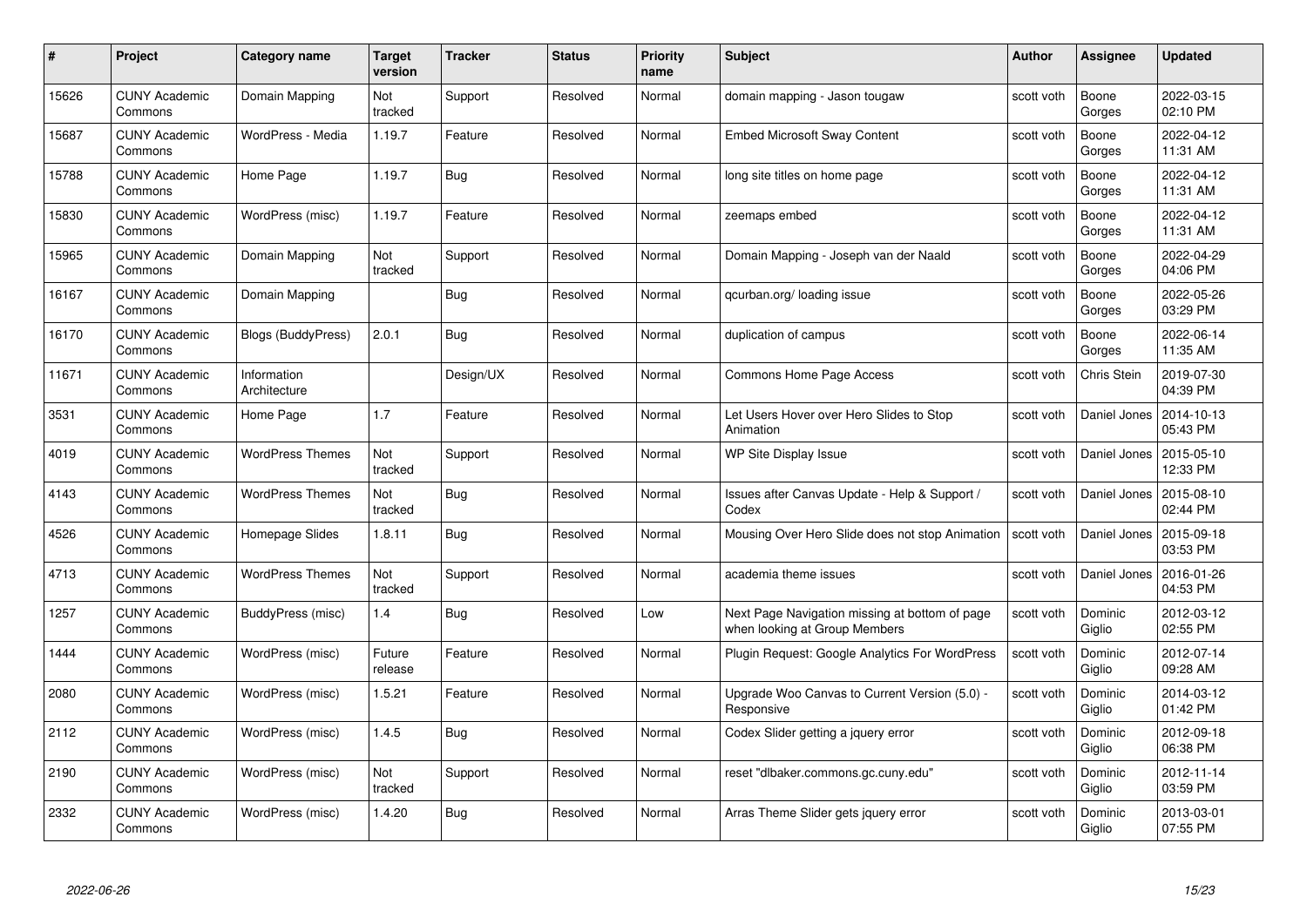|       | Project                         | <b>Category name</b>        | Target<br>version | <b>Tracker</b> | <b>Status</b> | <b>Priority</b><br>name | <b>Subject</b>                                                                  | <b>Author</b> | <b>Assignee</b>   | <b>Updated</b>         |
|-------|---------------------------------|-----------------------------|-------------------|----------------|---------------|-------------------------|---------------------------------------------------------------------------------|---------------|-------------------|------------------------|
| 15626 | <b>CUNY Academic</b><br>Commons | Domain Mapping              | Not<br>tracked    | Support        | Resolved      | Normal                  | domain mapping - Jason tougaw                                                   | scott voth    | Boone<br>Gorges   | 2022-03-15<br>02:10 PM |
| 15687 | <b>CUNY Academic</b><br>Commons | WordPress - Media           | 1.19.7            | Feature        | Resolved      | Normal                  | <b>Embed Microsoft Sway Content</b>                                             | scott voth    | Boone<br>Gorges   | 2022-04-12<br>11:31 AM |
| 15788 | <b>CUNY Academic</b><br>Commons | Home Page                   | 1.19.7            | Bug            | Resolved      | Normal                  | long site titles on home page                                                   | scott voth    | Boone<br>Gorges   | 2022-04-12<br>11:31 AM |
| 15830 | <b>CUNY Academic</b><br>Commons | WordPress (misc)            | 1.19.7            | Feature        | Resolved      | Normal                  | zeemaps embed                                                                   | scott voth    | Boone<br>Gorges   | 2022-04-12<br>11:31 AM |
| 15965 | <b>CUNY Academic</b><br>Commons | Domain Mapping              | Not<br>tracked    | Support        | Resolved      | Normal                  | Domain Mapping - Joseph van der Naald                                           | scott voth    | Boone<br>Gorges   | 2022-04-29<br>04:06 PM |
| 16167 | <b>CUNY Academic</b><br>Commons | Domain Mapping              |                   | <b>Bug</b>     | Resolved      | Normal                  | qcurban.org/loading issue                                                       | scott voth    | Boone<br>Gorges   | 2022-05-26<br>03:29 PM |
| 16170 | <b>CUNY Academic</b><br>Commons | Blogs (BuddyPress)          | 2.0.1             | Bug            | Resolved      | Normal                  | duplication of campus                                                           | scott voth    | Boone<br>Gorges   | 2022-06-14<br>11:35 AM |
| 11671 | <b>CUNY Academic</b><br>Commons | Information<br>Architecture |                   | Design/UX      | Resolved      | Normal                  | Commons Home Page Access                                                        | scott voth    | Chris Stein       | 2019-07-30<br>04:39 PM |
| 3531  | <b>CUNY Academic</b><br>Commons | Home Page                   | 1.7               | Feature        | Resolved      | Normal                  | Let Users Hover over Hero Slides to Stop<br>Animation                           | scott voth    | Daniel Jones      | 2014-10-13<br>05:43 PM |
| 4019  | <b>CUNY Academic</b><br>Commons | <b>WordPress Themes</b>     | Not<br>tracked    | Support        | Resolved      | Normal                  | WP Site Display Issue                                                           | scott voth    | Daniel Jones      | 2015-05-10<br>12:33 PM |
| 4143  | CUNY Academic<br>Commons        | <b>WordPress Themes</b>     | Not<br>tracked    | <b>Bug</b>     | Resolved      | Normal                  | Issues after Canvas Update - Help & Support /<br>Codex                          | scott voth    | Daniel Jones      | 2015-08-10<br>02:44 PM |
| 4526  | <b>CUNY Academic</b><br>Commons | Homepage Slides             | 1.8.11            | <b>Bug</b>     | Resolved      | Normal                  | Mousing Over Hero Slide does not stop Animation                                 | scott voth    | Daniel Jones      | 2015-09-18<br>03:53 PM |
| 4713  | CUNY Academic<br>Commons        | <b>WordPress Themes</b>     | Not<br>tracked    | Support        | Resolved      | Normal                  | academia theme issues                                                           | scott voth    | Daniel Jones      | 2016-01-26<br>04:53 PM |
| 1257  | <b>CUNY Academic</b><br>Commons | BuddyPress (misc)           | 1.4               | <b>Bug</b>     | Resolved      | Low                     | Next Page Navigation missing at bottom of page<br>when looking at Group Members | scott voth    | Dominic<br>Giglio | 2012-03-12<br>02:55 PM |
| 1444  | <b>CUNY Academic</b><br>Commons | WordPress (misc)            | Future<br>release | Feature        | Resolved      | Normal                  | Plugin Request: Google Analytics For WordPress                                  | scott voth    | Dominic<br>Giglio | 2012-07-14<br>09:28 AM |
| 2080  | <b>CUNY Academic</b><br>Commons | WordPress (misc)            | 1.5.21            | Feature        | Resolved      | Normal                  | Upgrade Woo Canvas to Current Version (5.0) -<br>Responsive                     | scott voth    | Dominic<br>Giglio | 2014-03-12<br>01:42 PM |
| 2112  | <b>CUNY Academic</b><br>Commons | WordPress (misc)            | 1.4.5             | Bug            | Resolved      | Normal                  | Codex Slider getting a jquery error                                             | scott voth    | Dominic<br>Giglio | 2012-09-18<br>06:38 PM |
| 2190  | <b>CUNY Academic</b><br>Commons | WordPress (misc)            | Not<br>tracked    | Support        | Resolved      | Normal                  | reset "dlbaker.commons.gc.cuny.edu"                                             | scott voth    | Dominic<br>Giglio | 2012-11-14<br>03:59 PM |
| 2332  | <b>CUNY Academic</b><br>Commons | WordPress (misc)            | 1.4.20            | Bug            | Resolved      | Normal                  | Arras Theme Slider gets jquery error                                            | scott voth    | Dominic<br>Giglio | 2013-03-01<br>07:55 PM |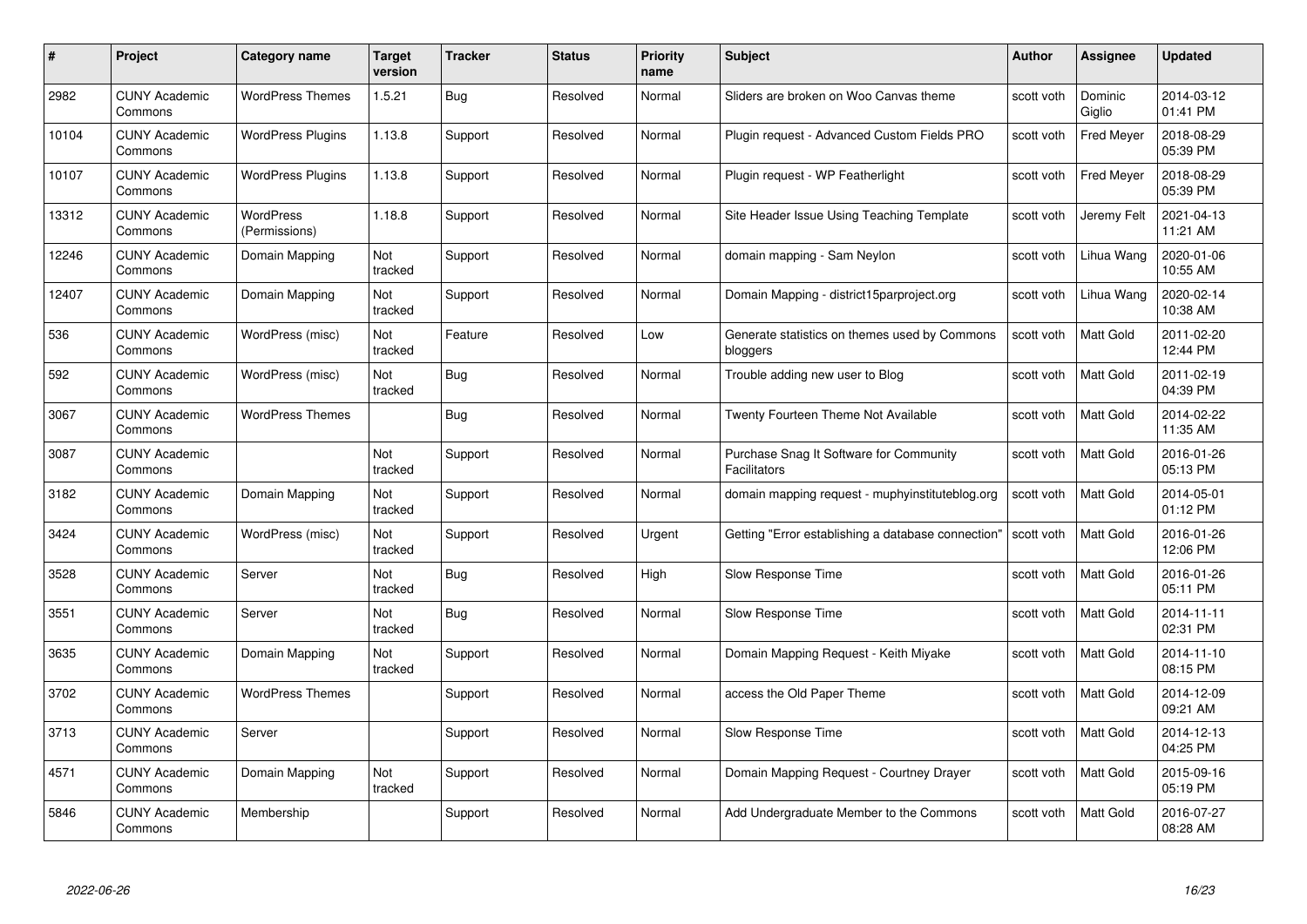| #     | Project                         | <b>Category name</b>       | Target<br>version | <b>Tracker</b> | <b>Status</b> | <b>Priority</b><br>name | <b>Subject</b>                                            | <b>Author</b> | <b>Assignee</b>   | <b>Updated</b>         |
|-------|---------------------------------|----------------------------|-------------------|----------------|---------------|-------------------------|-----------------------------------------------------------|---------------|-------------------|------------------------|
| 2982  | <b>CUNY Academic</b><br>Commons | <b>WordPress Themes</b>    | 1.5.21            | Bug            | Resolved      | Normal                  | Sliders are broken on Woo Canvas theme                    | scott voth    | Dominic<br>Giglio | 2014-03-12<br>01:41 PM |
| 10104 | <b>CUNY Academic</b><br>Commons | <b>WordPress Plugins</b>   | 1.13.8            | Support        | Resolved      | Normal                  | Plugin request - Advanced Custom Fields PRO               | scott voth    | <b>Fred Meyer</b> | 2018-08-29<br>05:39 PM |
| 10107 | <b>CUNY Academic</b><br>Commons | <b>WordPress Plugins</b>   | 1.13.8            | Support        | Resolved      | Normal                  | Plugin request - WP Featherlight                          | scott voth    | <b>Fred Meyer</b> | 2018-08-29<br>05:39 PM |
| 13312 | <b>CUNY Academic</b><br>Commons | WordPress<br>(Permissions) | 1.18.8            | Support        | Resolved      | Normal                  | Site Header Issue Using Teaching Template                 | scott voth    | Jeremy Felt       | 2021-04-13<br>11:21 AM |
| 12246 | CUNY Academic<br>Commons        | Domain Mapping             | Not<br>tracked    | Support        | Resolved      | Normal                  | domain mapping - Sam Neylon                               | scott voth    | Lihua Wang        | 2020-01-06<br>10:55 AM |
| 12407 | <b>CUNY Academic</b><br>Commons | Domain Mapping             | Not<br>tracked    | Support        | Resolved      | Normal                  | Domain Mapping - district15parproject.org                 | scott voth    | Lihua Wang        | 2020-02-14<br>10:38 AM |
| 536   | <b>CUNY Academic</b><br>Commons | WordPress (misc)           | Not<br>tracked    | Feature        | Resolved      | Low                     | Generate statistics on themes used by Commons<br>bloggers | scott voth    | Matt Gold         | 2011-02-20<br>12:44 PM |
| 592   | <b>CUNY Academic</b><br>Commons | WordPress (misc)           | Not<br>tracked    | <b>Bug</b>     | Resolved      | Normal                  | Trouble adding new user to Blog                           | scott voth    | Matt Gold         | 2011-02-19<br>04:39 PM |
| 3067  | <b>CUNY Academic</b><br>Commons | <b>WordPress Themes</b>    |                   | <b>Bug</b>     | Resolved      | Normal                  | Twenty Fourteen Theme Not Available                       | scott voth    | <b>Matt Gold</b>  | 2014-02-22<br>11:35 AM |
| 3087  | <b>CUNY Academic</b><br>Commons |                            | Not<br>tracked    | Support        | Resolved      | Normal                  | Purchase Snag It Software for Community<br>Facilitators   | scott voth    | Matt Gold         | 2016-01-26<br>05:13 PM |
| 3182  | CUNY Academic<br>Commons        | Domain Mapping             | Not<br>tracked    | Support        | Resolved      | Normal                  | domain mapping request - muphyinstituteblog.org           | scott voth    | Matt Gold         | 2014-05-01<br>01:12 PM |
| 3424  | <b>CUNY Academic</b><br>Commons | WordPress (misc)           | Not<br>tracked    | Support        | Resolved      | Urgent                  | Getting "Error establishing a database connection"        | scott voth    | Matt Gold         | 2016-01-26<br>12:06 PM |
| 3528  | <b>CUNY Academic</b><br>Commons | Server                     | Not<br>tracked    | Bug            | Resolved      | High                    | Slow Response Time                                        | scott voth    | <b>Matt Gold</b>  | 2016-01-26<br>05:11 PM |
| 3551  | <b>CUNY Academic</b><br>Commons | Server                     | Not<br>tracked    | <b>Bug</b>     | Resolved      | Normal                  | Slow Response Time                                        | scott voth    | Matt Gold         | 2014-11-11<br>02:31 PM |
| 3635  | <b>CUNY Academic</b><br>Commons | Domain Mapping             | Not<br>tracked    | Support        | Resolved      | Normal                  | Domain Mapping Request - Keith Miyake                     | scott voth    | Matt Gold         | 2014-11-10<br>08:15 PM |
| 3702  | <b>CUNY Academic</b><br>Commons | <b>WordPress Themes</b>    |                   | Support        | Resolved      | Normal                  | access the Old Paper Theme                                | scott voth    | Matt Gold         | 2014-12-09<br>09:21 AM |
| 3713  | <b>CUNY Academic</b><br>Commons | Server                     |                   | Support        | Resolved      | Normal                  | Slow Response Time                                        | scott voth    | Matt Gold         | 2014-12-13<br>04:25 PM |
| 4571  | <b>CUNY Academic</b><br>Commons | Domain Mapping             | Not<br>tracked    | Support        | Resolved      | Normal                  | Domain Mapping Request - Courtney Drayer                  | scott voth    | Matt Gold         | 2015-09-16<br>05:19 PM |
| 5846  | CUNY Academic<br>Commons        | Membership                 |                   | Support        | Resolved      | Normal                  | Add Undergraduate Member to the Commons                   | scott voth    | <b>Matt Gold</b>  | 2016-07-27<br>08:28 AM |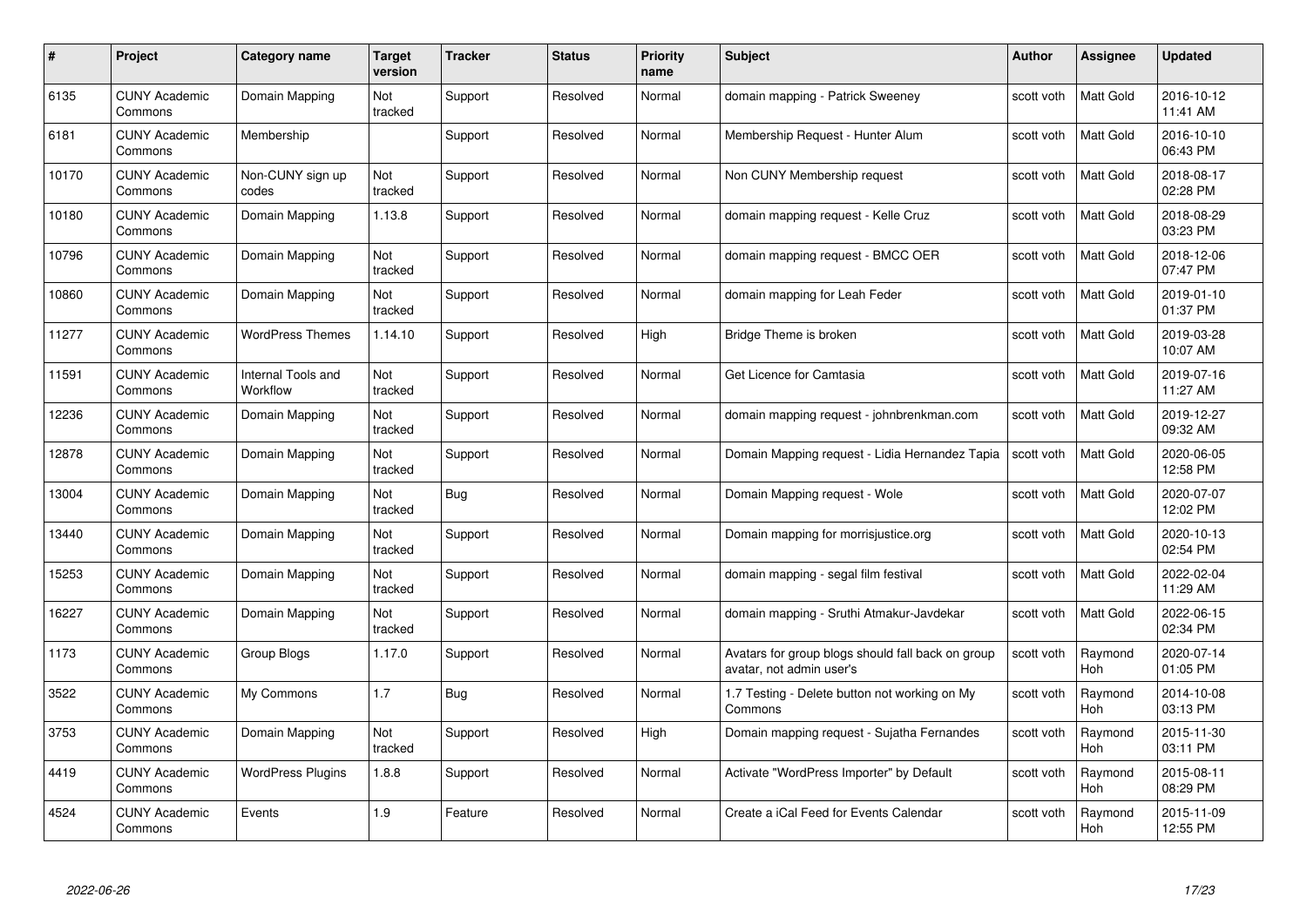| #     | Project                         | <b>Category name</b>           | Target<br>version     | <b>Tracker</b> | <b>Status</b> | <b>Priority</b><br>name | <b>Subject</b>                                                                | <b>Author</b> | <b>Assignee</b>       | <b>Updated</b>         |
|-------|---------------------------------|--------------------------------|-----------------------|----------------|---------------|-------------------------|-------------------------------------------------------------------------------|---------------|-----------------------|------------------------|
| 6135  | <b>CUNY Academic</b><br>Commons | Domain Mapping                 | Not<br>tracked        | Support        | Resolved      | Normal                  | domain mapping - Patrick Sweeney                                              | scott voth    | <b>Matt Gold</b>      | 2016-10-12<br>11:41 AM |
| 6181  | <b>CUNY Academic</b><br>Commons | Membership                     |                       | Support        | Resolved      | Normal                  | Membership Request - Hunter Alum                                              | scott voth    | Matt Gold             | 2016-10-10<br>06:43 PM |
| 10170 | <b>CUNY Academic</b><br>Commons | Non-CUNY sign up<br>codes      | Not<br>tracked        | Support        | Resolved      | Normal                  | Non CUNY Membership request                                                   | scott voth    | <b>Matt Gold</b>      | 2018-08-17<br>02:28 PM |
| 10180 | <b>CUNY Academic</b><br>Commons | Domain Mapping                 | 1.13.8                | Support        | Resolved      | Normal                  | domain mapping request - Kelle Cruz                                           | scott voth    | <b>Matt Gold</b>      | 2018-08-29<br>03:23 PM |
| 10796 | <b>CUNY Academic</b><br>Commons | Domain Mapping                 | <b>Not</b><br>tracked | Support        | Resolved      | Normal                  | domain mapping request - BMCC OER                                             | scott voth    | <b>Matt Gold</b>      | 2018-12-06<br>07:47 PM |
| 10860 | <b>CUNY Academic</b><br>Commons | Domain Mapping                 | Not<br>tracked        | Support        | Resolved      | Normal                  | domain mapping for Leah Feder                                                 | scott voth    | <b>Matt Gold</b>      | 2019-01-10<br>01:37 PM |
| 11277 | <b>CUNY Academic</b><br>Commons | <b>WordPress Themes</b>        | 1.14.10               | Support        | Resolved      | High                    | Bridge Theme is broken                                                        | scott voth    | Matt Gold             | 2019-03-28<br>10:07 AM |
| 11591 | <b>CUNY Academic</b><br>Commons | Internal Tools and<br>Workflow | Not<br>tracked        | Support        | Resolved      | Normal                  | Get Licence for Camtasia                                                      | scott voth    | Matt Gold             | 2019-07-16<br>11:27 AM |
| 12236 | <b>CUNY Academic</b><br>Commons | Domain Mapping                 | Not<br>tracked        | Support        | Resolved      | Normal                  | domain mapping request - johnbrenkman.com                                     | scott voth    | <b>Matt Gold</b>      | 2019-12-27<br>09:32 AM |
| 12878 | <b>CUNY Academic</b><br>Commons | Domain Mapping                 | Not<br>tracked        | Support        | Resolved      | Normal                  | Domain Mapping request - Lidia Hernandez Tapia                                | scott voth    | Matt Gold             | 2020-06-05<br>12:58 PM |
| 13004 | <b>CUNY Academic</b><br>Commons | Domain Mapping                 | Not<br>tracked        | <b>Bug</b>     | Resolved      | Normal                  | Domain Mapping request - Wole                                                 | scott voth    | <b>Matt Gold</b>      | 2020-07-07<br>12:02 PM |
| 13440 | <b>CUNY Academic</b><br>Commons | Domain Mapping                 | Not<br>tracked        | Support        | Resolved      | Normal                  | Domain mapping for morrisjustice.org                                          | scott voth    | <b>Matt Gold</b>      | 2020-10-13<br>02:54 PM |
| 15253 | <b>CUNY Academic</b><br>Commons | Domain Mapping                 | Not<br>tracked        | Support        | Resolved      | Normal                  | domain mapping - segal film festival                                          | scott voth    | <b>Matt Gold</b>      | 2022-02-04<br>11:29 AM |
| 16227 | <b>CUNY Academic</b><br>Commons | Domain Mapping                 | Not<br>tracked        | Support        | Resolved      | Normal                  | domain mapping - Sruthi Atmakur-Javdekar                                      | scott voth    | <b>Matt Gold</b>      | 2022-06-15<br>02:34 PM |
| 1173  | CUNY Academic<br>Commons        | Group Blogs                    | 1.17.0                | Support        | Resolved      | Normal                  | Avatars for group blogs should fall back on group<br>avatar, not admin user's | scott voth    | Raymond<br>Hoh        | 2020-07-14<br>01:05 PM |
| 3522  | <b>CUNY Academic</b><br>Commons | My Commons                     | 1.7                   | Bug            | Resolved      | Normal                  | 1.7 Testing - Delete button not working on My<br>Commons                      | scott voth    | Raymond<br>Hoh        | 2014-10-08<br>03:13 PM |
| 3753  | <b>CUNY Academic</b><br>Commons | Domain Mapping                 | Not<br>tracked        | Support        | Resolved      | High                    | Domain mapping request - Sujatha Fernandes                                    | scott voth    | Raymond<br><b>Hoh</b> | 2015-11-30<br>03:11 PM |
| 4419  | <b>CUNY Academic</b><br>Commons | <b>WordPress Plugins</b>       | 1.8.8                 | Support        | Resolved      | Normal                  | Activate "WordPress Importer" by Default                                      | scott voth    | Raymond<br>Hoh        | 2015-08-11<br>08:29 PM |
| 4524  | <b>CUNY Academic</b><br>Commons | Events                         | 1.9                   | Feature        | Resolved      | Normal                  | Create a iCal Feed for Events Calendar                                        | scott voth    | Raymond<br>Hoh        | 2015-11-09<br>12:55 PM |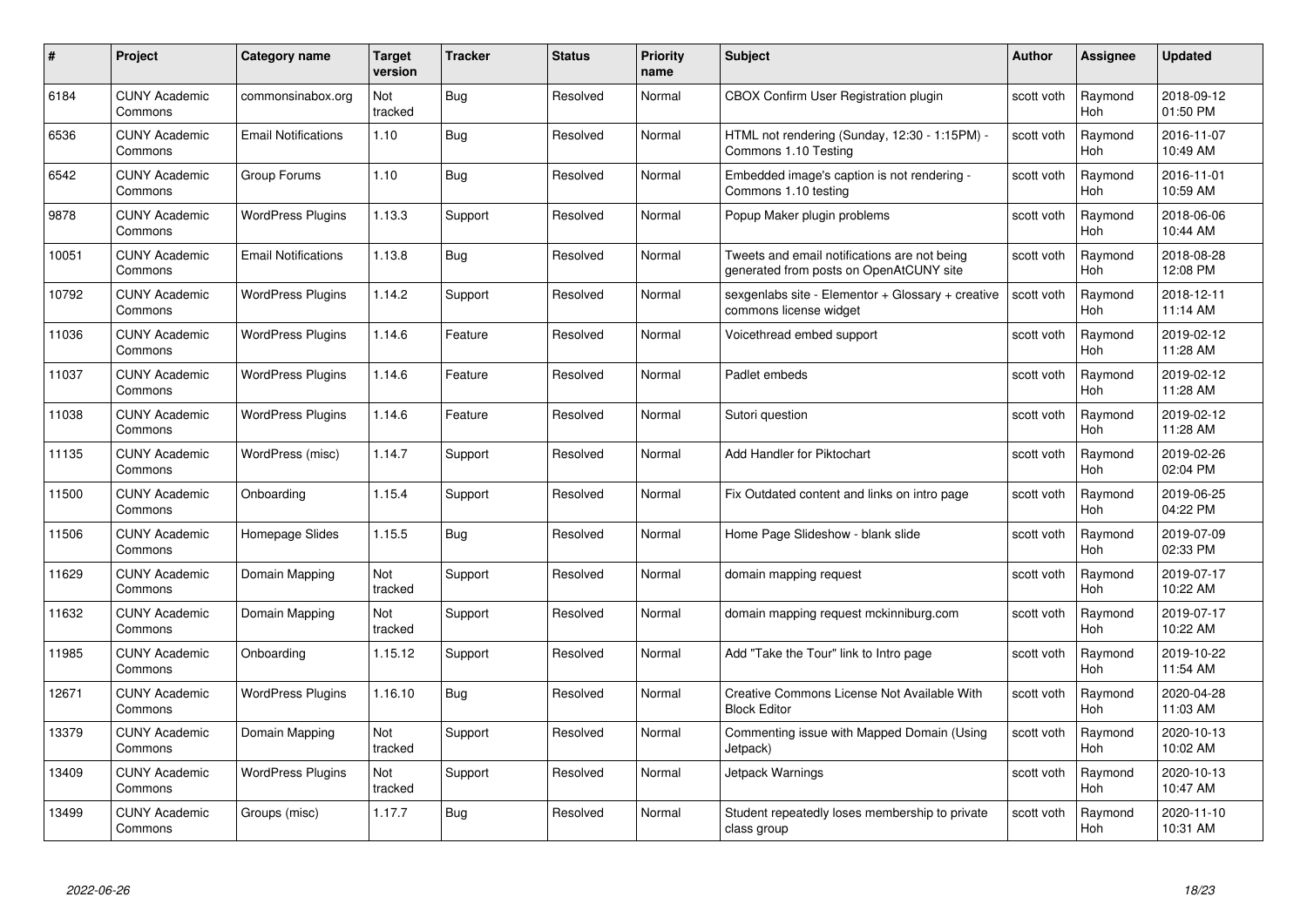| #     | Project                         | <b>Category name</b>       | Target<br>version | <b>Tracker</b> | <b>Status</b> | <b>Priority</b><br>name | <b>Subject</b>                                                                          | <b>Author</b> | <b>Assignee</b>       | <b>Updated</b>         |
|-------|---------------------------------|----------------------------|-------------------|----------------|---------------|-------------------------|-----------------------------------------------------------------------------------------|---------------|-----------------------|------------------------|
| 6184  | <b>CUNY Academic</b><br>Commons | commonsinabox.org          | Not<br>tracked    | Bug            | Resolved      | Normal                  | CBOX Confirm User Registration plugin                                                   | scott voth    | Raymond<br>Hoh        | 2018-09-12<br>01:50 PM |
| 6536  | <b>CUNY Academic</b><br>Commons | <b>Email Notifications</b> | 1.10              | Bug            | Resolved      | Normal                  | HTML not rendering (Sunday, 12:30 - 1:15PM) -<br>Commons 1.10 Testing                   | scott voth    | Raymond<br><b>Hoh</b> | 2016-11-07<br>10:49 AM |
| 6542  | <b>CUNY Academic</b><br>Commons | Group Forums               | 1.10              | Bug            | Resolved      | Normal                  | Embedded image's caption is not rendering -<br>Commons 1.10 testing                     | scott voth    | Raymond<br>Hoh        | 2016-11-01<br>10:59 AM |
| 9878  | <b>CUNY Academic</b><br>Commons | <b>WordPress Plugins</b>   | 1.13.3            | Support        | Resolved      | Normal                  | Popup Maker plugin problems                                                             | scott voth    | Raymond<br><b>Hoh</b> | 2018-06-06<br>10:44 AM |
| 10051 | <b>CUNY Academic</b><br>Commons | <b>Email Notifications</b> | 1.13.8            | <b>Bug</b>     | Resolved      | Normal                  | Tweets and email notifications are not being<br>generated from posts on OpenAtCUNY site | scott voth    | Raymond<br>Hoh        | 2018-08-28<br>12:08 PM |
| 10792 | <b>CUNY Academic</b><br>Commons | <b>WordPress Plugins</b>   | 1.14.2            | Support        | Resolved      | Normal                  | sexgenlabs site - Elementor + Glossary + creative<br>commons license widget             | scott voth    | Raymond<br>Hoh        | 2018-12-11<br>11:14 AM |
| 11036 | <b>CUNY Academic</b><br>Commons | <b>WordPress Plugins</b>   | 1.14.6            | Feature        | Resolved      | Normal                  | Voicethread embed support                                                               | scott voth    | Raymond<br>Hoh        | 2019-02-12<br>11:28 AM |
| 11037 | <b>CUNY Academic</b><br>Commons | <b>WordPress Plugins</b>   | 1.14.6            | Feature        | Resolved      | Normal                  | Padlet embeds                                                                           | scott voth    | Raymond<br>Hoh        | 2019-02-12<br>11:28 AM |
| 11038 | <b>CUNY Academic</b><br>Commons | <b>WordPress Plugins</b>   | 1.14.6            | Feature        | Resolved      | Normal                  | Sutori question                                                                         | scott voth    | Raymond<br><b>Hoh</b> | 2019-02-12<br>11:28 AM |
| 11135 | <b>CUNY Academic</b><br>Commons | WordPress (misc)           | 1.14.7            | Support        | Resolved      | Normal                  | Add Handler for Piktochart                                                              | scott voth    | Raymond<br>Hoh        | 2019-02-26<br>02:04 PM |
| 11500 | <b>CUNY Academic</b><br>Commons | Onboarding                 | 1.15.4            | Support        | Resolved      | Normal                  | Fix Outdated content and links on intro page                                            | scott voth    | Raymond<br>Hoh        | 2019-06-25<br>04:22 PM |
| 11506 | <b>CUNY Academic</b><br>Commons | Homepage Slides            | 1.15.5            | Bug            | Resolved      | Normal                  | Home Page Slideshow - blank slide                                                       | scott voth    | Raymond<br><b>Hoh</b> | 2019-07-09<br>02:33 PM |
| 11629 | <b>CUNY Academic</b><br>Commons | Domain Mapping             | Not<br>tracked    | Support        | Resolved      | Normal                  | domain mapping request                                                                  | scott voth    | Raymond<br>Hoh        | 2019-07-17<br>10:22 AM |
| 11632 | <b>CUNY Academic</b><br>Commons | Domain Mapping             | Not<br>tracked    | Support        | Resolved      | Normal                  | domain mapping request mckinniburg.com                                                  | scott voth    | Raymond<br>Hoh        | 2019-07-17<br>10:22 AM |
| 11985 | <b>CUNY Academic</b><br>Commons | Onboarding                 | 1.15.12           | Support        | Resolved      | Normal                  | Add "Take the Tour" link to Intro page                                                  | scott voth    | Raymond<br>Hoh        | 2019-10-22<br>11:54 AM |
| 12671 | <b>CUNY Academic</b><br>Commons | <b>WordPress Plugins</b>   | 1.16.10           | Bug            | Resolved      | Normal                  | Creative Commons License Not Available With<br><b>Block Editor</b>                      | scott voth    | Raymond<br><b>Hoh</b> | 2020-04-28<br>11:03 AM |
| 13379 | <b>CUNY Academic</b><br>Commons | Domain Mapping             | Not<br>tracked    | Support        | Resolved      | Normal                  | Commenting issue with Mapped Domain (Using<br>Jetpack)                                  | scott voth    | Raymond<br><b>Hoh</b> | 2020-10-13<br>10:02 AM |
| 13409 | <b>CUNY Academic</b><br>Commons | <b>WordPress Plugins</b>   | Not<br>tracked    | Support        | Resolved      | Normal                  | Jetpack Warnings                                                                        | scott voth    | Raymond<br>Hoh        | 2020-10-13<br>10:47 AM |
| 13499 | CUNY Academic<br>Commons        | Groups (misc)              | 1.17.7            | Bug            | Resolved      | Normal                  | Student repeatedly loses membership to private<br>class group                           | scott voth    | Raymond<br>Hoh        | 2020-11-10<br>10:31 AM |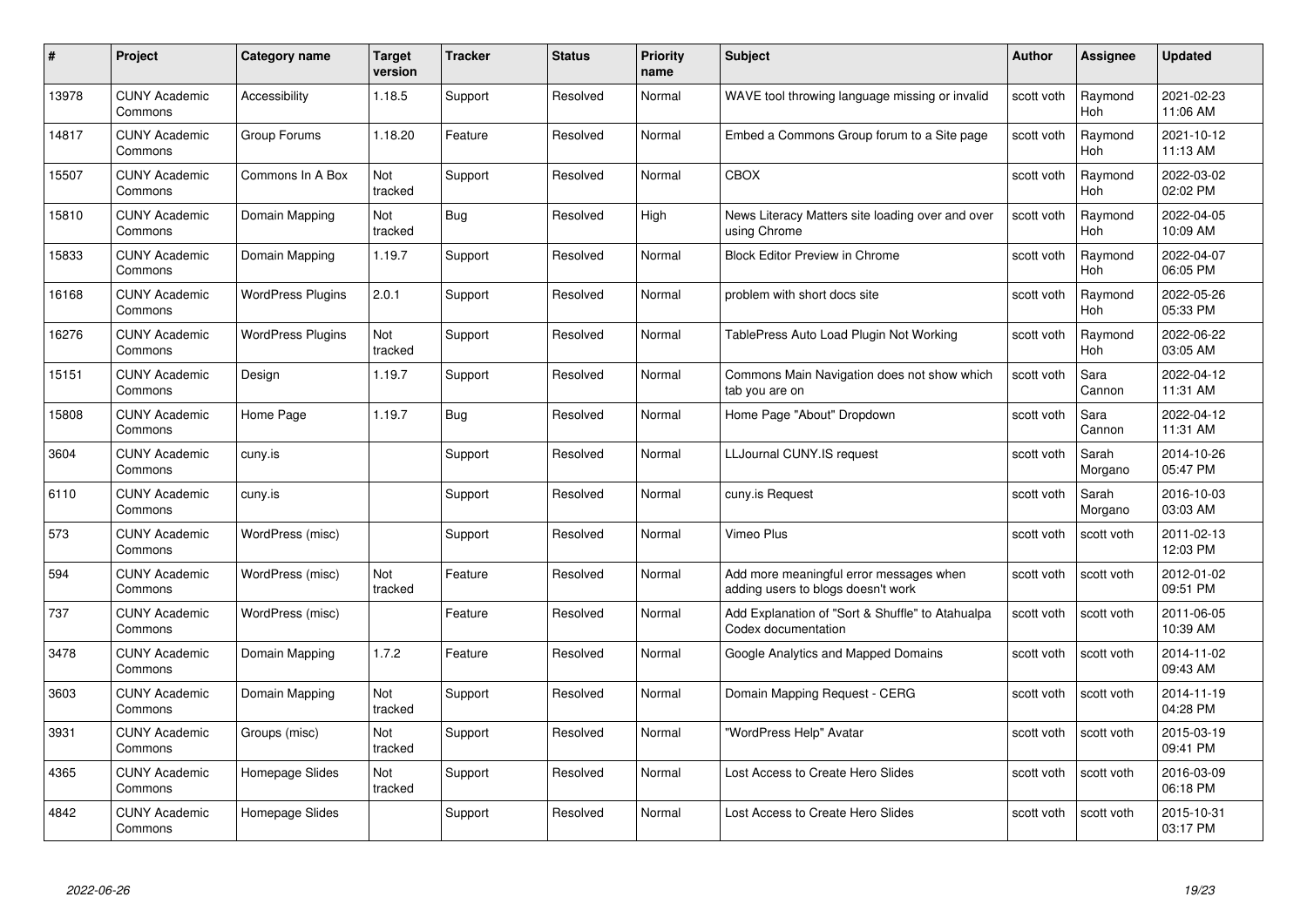| #     | Project                         | Category name            | Target<br>version | <b>Tracker</b> | <b>Status</b> | <b>Priority</b><br>name | <b>Subject</b>                                                                | Author     | Assignee              | <b>Updated</b>         |
|-------|---------------------------------|--------------------------|-------------------|----------------|---------------|-------------------------|-------------------------------------------------------------------------------|------------|-----------------------|------------------------|
| 13978 | <b>CUNY Academic</b><br>Commons | Accessibility            | 1.18.5            | Support        | Resolved      | Normal                  | WAVE tool throwing language missing or invalid                                | scott voth | Raymond<br><b>Hoh</b> | 2021-02-23<br>11:06 AM |
| 14817 | <b>CUNY Academic</b><br>Commons | Group Forums             | 1.18.20           | Feature        | Resolved      | Normal                  | Embed a Commons Group forum to a Site page                                    | scott voth | Raymond<br><b>Hoh</b> | 2021-10-12<br>11:13 AM |
| 15507 | <b>CUNY Academic</b><br>Commons | Commons In A Box         | Not<br>tracked    | Support        | Resolved      | Normal                  | <b>CBOX</b>                                                                   | scott voth | Raymond<br>Hoh        | 2022-03-02<br>02:02 PM |
| 15810 | <b>CUNY Academic</b><br>Commons | Domain Mapping           | Not<br>tracked    | <b>Bug</b>     | Resolved      | High                    | News Literacy Matters site loading over and over<br>using Chrome              | scott voth | Raymond<br>Hoh        | 2022-04-05<br>10:09 AM |
| 15833 | <b>CUNY Academic</b><br>Commons | Domain Mapping           | 1.19.7            | Support        | Resolved      | Normal                  | <b>Block Editor Preview in Chrome</b>                                         | scott voth | Raymond<br><b>Hoh</b> | 2022-04-07<br>06:05 PM |
| 16168 | <b>CUNY Academic</b><br>Commons | <b>WordPress Plugins</b> | 2.0.1             | Support        | Resolved      | Normal                  | problem with short docs site                                                  | scott voth | Raymond<br>Hoh        | 2022-05-26<br>05:33 PM |
| 16276 | <b>CUNY Academic</b><br>Commons | <b>WordPress Plugins</b> | Not<br>tracked    | Support        | Resolved      | Normal                  | TablePress Auto Load Plugin Not Working                                       | scott voth | Raymond<br>Hoh        | 2022-06-22<br>03:05 AM |
| 15151 | <b>CUNY Academic</b><br>Commons | Design                   | 1.19.7            | Support        | Resolved      | Normal                  | Commons Main Navigation does not show which<br>tab you are on                 | scott voth | Sara<br>Cannon        | 2022-04-12<br>11:31 AM |
| 15808 | <b>CUNY Academic</b><br>Commons | Home Page                | 1.19.7            | Bug            | Resolved      | Normal                  | Home Page "About" Dropdown                                                    | scott voth | Sara<br>Cannon        | 2022-04-12<br>11:31 AM |
| 3604  | <b>CUNY Academic</b><br>Commons | cuny.is                  |                   | Support        | Resolved      | Normal                  | LLJournal CUNY.IS request                                                     | scott voth | Sarah<br>Morgano      | 2014-10-26<br>05:47 PM |
| 6110  | <b>CUNY Academic</b><br>Commons | cuny.is                  |                   | Support        | Resolved      | Normal                  | cuny.is Request                                                               | scott voth | Sarah<br>Morgano      | 2016-10-03<br>03:03 AM |
| 573   | <b>CUNY Academic</b><br>Commons | WordPress (misc)         |                   | Support        | Resolved      | Normal                  | Vimeo Plus                                                                    | scott voth | scott voth            | 2011-02-13<br>12:03 PM |
| 594   | <b>CUNY Academic</b><br>Commons | WordPress (misc)         | Not<br>tracked    | Feature        | Resolved      | Normal                  | Add more meaningful error messages when<br>adding users to blogs doesn't work | scott voth | scott voth            | 2012-01-02<br>09:51 PM |
| 737   | <b>CUNY Academic</b><br>Commons | WordPress (misc)         |                   | Feature        | Resolved      | Normal                  | Add Explanation of "Sort & Shuffle" to Atahualpa<br>Codex documentation       | scott voth | scott voth            | 2011-06-05<br>10:39 AM |
| 3478  | <b>CUNY Academic</b><br>Commons | Domain Mapping           | 1.7.2             | Feature        | Resolved      | Normal                  | Google Analytics and Mapped Domains                                           | scott voth | scott voth            | 2014-11-02<br>09:43 AM |
| 3603  | <b>CUNY Academic</b><br>Commons | Domain Mapping           | Not<br>tracked    | Support        | Resolved      | Normal                  | Domain Mapping Request - CERG                                                 | scott voth | scott voth            | 2014-11-19<br>04:28 PM |
| 3931  | <b>CUNY Academic</b><br>Commons | Groups (misc)            | Not<br>tracked    | Support        | Resolved      | Normal                  | "WordPress Help" Avatar                                                       | scott voth | scott voth            | 2015-03-19<br>09:41 PM |
| 4365  | <b>CUNY Academic</b><br>Commons | Homepage Slides          | Not<br>tracked    | Support        | Resolved      | Normal                  | Lost Access to Create Hero Slides                                             | scott voth | scott voth            | 2016-03-09<br>06:18 PM |
| 4842  | <b>CUNY Academic</b><br>Commons | Homepage Slides          |                   | Support        | Resolved      | Normal                  | Lost Access to Create Hero Slides                                             | scott voth | scott voth            | 2015-10-31<br>03:17 PM |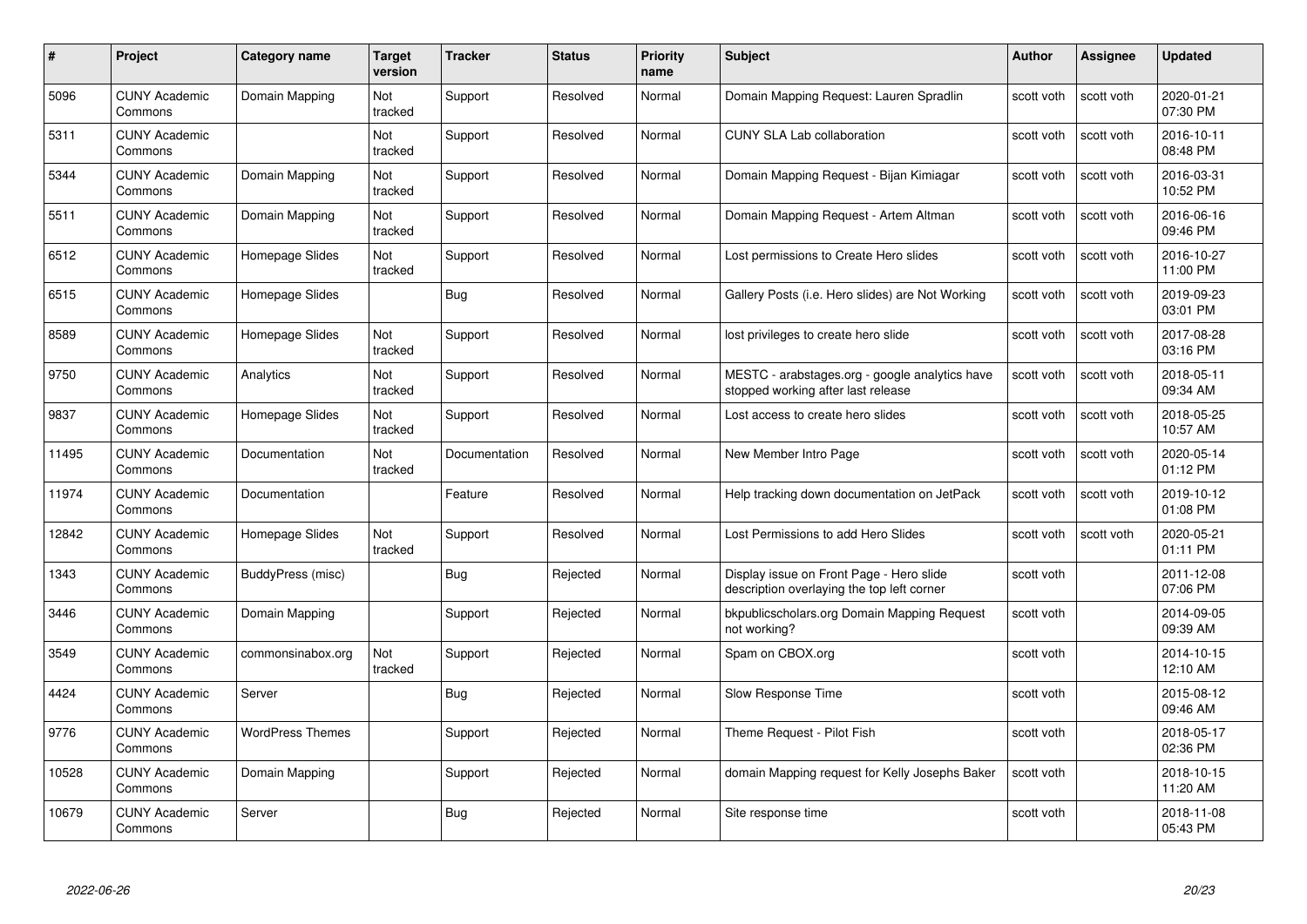| #     | Project                         | <b>Category name</b>    | Target<br>version | <b>Tracker</b> | <b>Status</b> | <b>Priority</b><br>name | <b>Subject</b>                                                                         | <b>Author</b> | <b>Assignee</b> | <b>Updated</b>         |
|-------|---------------------------------|-------------------------|-------------------|----------------|---------------|-------------------------|----------------------------------------------------------------------------------------|---------------|-----------------|------------------------|
| 5096  | <b>CUNY Academic</b><br>Commons | Domain Mapping          | Not<br>tracked    | Support        | Resolved      | Normal                  | Domain Mapping Request: Lauren Spradlin                                                | scott voth    | scott voth      | 2020-01-21<br>07:30 PM |
| 5311  | <b>CUNY Academic</b><br>Commons |                         | Not<br>tracked    | Support        | Resolved      | Normal                  | <b>CUNY SLA Lab collaboration</b>                                                      | scott voth    | scott voth      | 2016-10-11<br>08:48 PM |
| 5344  | <b>CUNY Academic</b><br>Commons | Domain Mapping          | Not<br>tracked    | Support        | Resolved      | Normal                  | Domain Mapping Request - Bijan Kimiagar                                                | scott voth    | scott voth      | 2016-03-31<br>10:52 PM |
| 5511  | <b>CUNY Academic</b><br>Commons | Domain Mapping          | Not<br>tracked    | Support        | Resolved      | Normal                  | Domain Mapping Request - Artem Altman                                                  | scott voth    | scott voth      | 2016-06-16<br>09:46 PM |
| 6512  | <b>CUNY Academic</b><br>Commons | Homepage Slides         | Not<br>tracked    | Support        | Resolved      | Normal                  | Lost permissions to Create Hero slides                                                 | scott voth    | scott voth      | 2016-10-27<br>11:00 PM |
| 6515  | <b>CUNY Academic</b><br>Commons | Homepage Slides         |                   | Bug            | Resolved      | Normal                  | Gallery Posts (i.e. Hero slides) are Not Working                                       | scott voth    | scott voth      | 2019-09-23<br>03:01 PM |
| 8589  | <b>CUNY Academic</b><br>Commons | Homepage Slides         | Not<br>tracked    | Support        | Resolved      | Normal                  | lost privileges to create hero slide                                                   | scott voth    | scott voth      | 2017-08-28<br>03:16 PM |
| 9750  | <b>CUNY Academic</b><br>Commons | Analytics               | Not<br>tracked    | Support        | Resolved      | Normal                  | MESTC - arabstages.org - google analytics have<br>stopped working after last release   | scott voth    | scott voth      | 2018-05-11<br>09:34 AM |
| 9837  | <b>CUNY Academic</b><br>Commons | Homepage Slides         | Not<br>tracked    | Support        | Resolved      | Normal                  | Lost access to create hero slides                                                      | scott voth    | scott voth      | 2018-05-25<br>10:57 AM |
| 11495 | <b>CUNY Academic</b><br>Commons | Documentation           | Not<br>tracked    | Documentation  | Resolved      | Normal                  | New Member Intro Page                                                                  | scott voth    | scott voth      | 2020-05-14<br>01:12 PM |
| 11974 | CUNY Academic<br>Commons        | Documentation           |                   | Feature        | Resolved      | Normal                  | Help tracking down documentation on JetPack                                            | scott voth    | scott voth      | 2019-10-12<br>01:08 PM |
| 12842 | <b>CUNY Academic</b><br>Commons | Homepage Slides         | Not<br>tracked    | Support        | Resolved      | Normal                  | Lost Permissions to add Hero Slides                                                    | scott voth    | scott voth      | 2020-05-21<br>01:11 PM |
| 1343  | <b>CUNY Academic</b><br>Commons | BuddyPress (misc)       |                   | Bug            | Rejected      | Normal                  | Display issue on Front Page - Hero slide<br>description overlaying the top left corner | scott voth    |                 | 2011-12-08<br>07:06 PM |
| 3446  | <b>CUNY Academic</b><br>Commons | Domain Mapping          |                   | Support        | Rejected      | Normal                  | bkpublicscholars.org Domain Mapping Request<br>not working?                            | scott voth    |                 | 2014-09-05<br>09:39 AM |
| 3549  | <b>CUNY Academic</b><br>Commons | commonsinabox.org       | Not<br>tracked    | Support        | Rejected      | Normal                  | Spam on CBOX.org                                                                       | scott voth    |                 | 2014-10-15<br>12:10 AM |
| 4424  | <b>CUNY Academic</b><br>Commons | Server                  |                   | Bug            | Rejected      | Normal                  | Slow Response Time                                                                     | scott voth    |                 | 2015-08-12<br>09:46 AM |
| 9776  | <b>CUNY Academic</b><br>Commons | <b>WordPress Themes</b> |                   | Support        | Rejected      | Normal                  | Theme Request - Pilot Fish                                                             | scott voth    |                 | 2018-05-17<br>02:36 PM |
| 10528 | <b>CUNY Academic</b><br>Commons | Domain Mapping          |                   | Support        | Rejected      | Normal                  | domain Mapping request for Kelly Josephs Baker                                         | scott voth    |                 | 2018-10-15<br>11:20 AM |
| 10679 | <b>CUNY Academic</b><br>Commons | Server                  |                   | Bug            | Rejected      | Normal                  | Site response time                                                                     | scott voth    |                 | 2018-11-08<br>05:43 PM |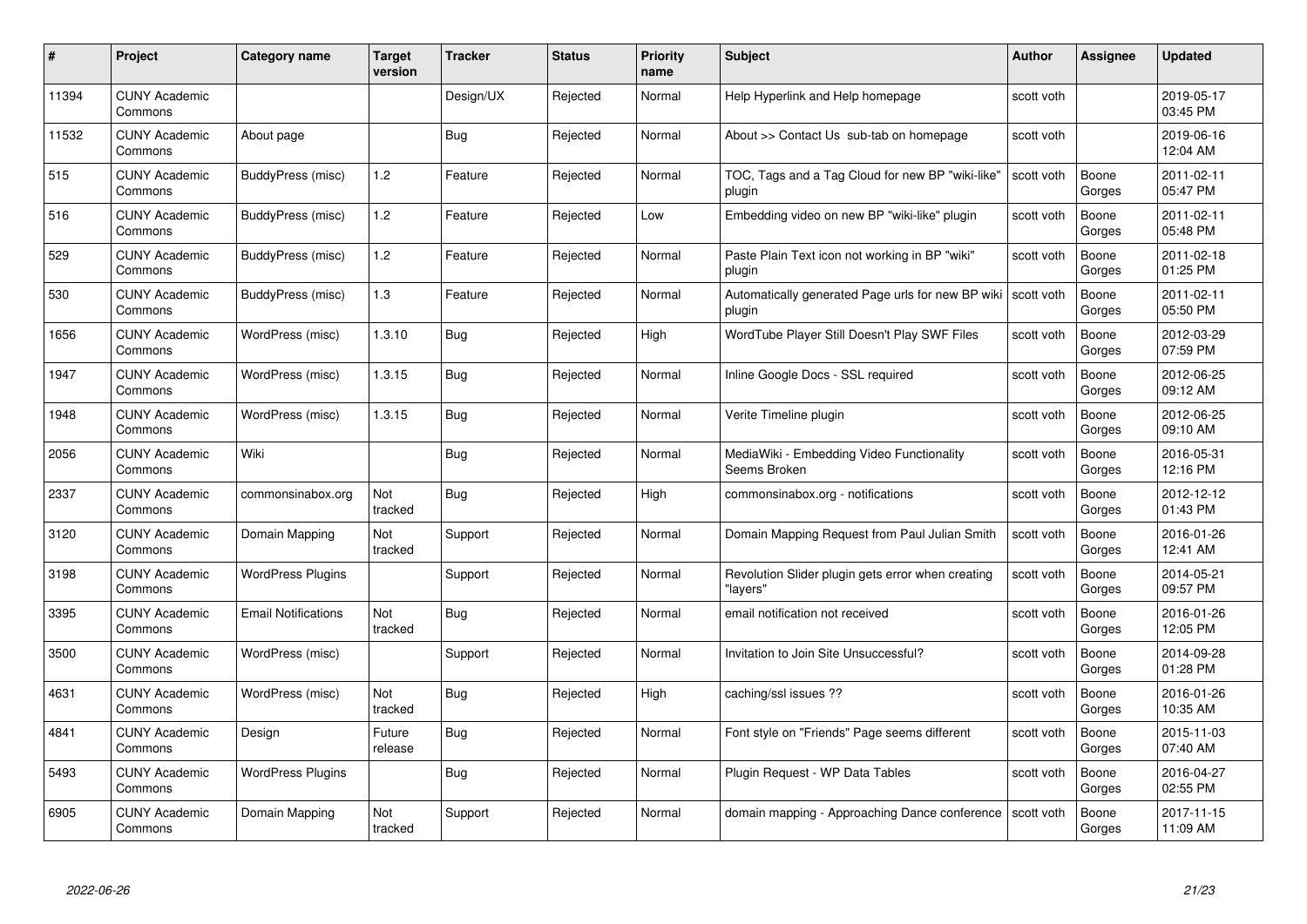|       | Project                         | <b>Category name</b>       | Target<br>version | <b>Tracker</b> | <b>Status</b> | <b>Priority</b><br>name | <b>Subject</b>                                                | <b>Author</b> | Assignee        | <b>Updated</b>         |
|-------|---------------------------------|----------------------------|-------------------|----------------|---------------|-------------------------|---------------------------------------------------------------|---------------|-----------------|------------------------|
| 11394 | <b>CUNY Academic</b><br>Commons |                            |                   | Design/UX      | Rejected      | Normal                  | Help Hyperlink and Help homepage                              | scott voth    |                 | 2019-05-17<br>03:45 PM |
| 11532 | <b>CUNY Academic</b><br>Commons | About page                 |                   | Bug            | Rejected      | Normal                  | About >> Contact Us sub-tab on homepage                       | scott voth    |                 | 2019-06-16<br>12:04 AM |
| 515   | <b>CUNY Academic</b><br>Commons | BuddyPress (misc)          | 1.2               | Feature        | Rejected      | Normal                  | TOC, Tags and a Tag Cloud for new BP "wiki-like"<br>plugin    | scott voth    | Boone<br>Gorges | 2011-02-11<br>05:47 PM |
| 516   | <b>CUNY Academic</b><br>Commons | BuddyPress (misc)          | 1.2               | Feature        | Rejected      | Low                     | Embedding video on new BP "wiki-like" plugin                  | scott voth    | Boone<br>Gorges | 2011-02-11<br>05:48 PM |
| 529   | <b>CUNY Academic</b><br>Commons | BuddyPress (misc)          | 1.2               | Feature        | Rejected      | Normal                  | Paste Plain Text icon not working in BP "wiki"<br>plugin      | scott voth    | Boone<br>Gorges | 2011-02-18<br>01:25 PM |
| 530   | <b>CUNY Academic</b><br>Commons | BuddyPress (misc)          | 1.3               | Feature        | Rejected      | Normal                  | Automatically generated Page urls for new BP wiki  <br>plugin | scott voth    | Boone<br>Gorges | 2011-02-11<br>05:50 PM |
| 1656  | <b>CUNY Academic</b><br>Commons | WordPress (misc)           | 1.3.10            | <b>Bug</b>     | Rejected      | High                    | WordTube Player Still Doesn't Play SWF Files                  | scott voth    | Boone<br>Gorges | 2012-03-29<br>07:59 PM |
| 1947  | <b>CUNY Academic</b><br>Commons | WordPress (misc)           | 1.3.15            | <b>Bug</b>     | Rejected      | Normal                  | Inline Google Docs - SSL required                             | scott voth    | Boone<br>Gorges | 2012-06-25<br>09:12 AM |
| 1948  | <b>CUNY Academic</b><br>Commons | WordPress (misc)           | 1.3.15            | Bug            | Rejected      | Normal                  | Verite Timeline plugin                                        | scott voth    | Boone<br>Gorges | 2012-06-25<br>09:10 AM |
| 2056  | <b>CUNY Academic</b><br>Commons | Wiki                       |                   | <b>Bug</b>     | Rejected      | Normal                  | MediaWiki - Embedding Video Functionality<br>Seems Broken     | scott voth    | Boone<br>Gorges | 2016-05-31<br>12:16 PM |
| 2337  | <b>CUNY Academic</b><br>Commons | commonsinabox.org          | Not<br>tracked    | Bug            | Rejected      | High                    | commonsinabox.org - notifications                             | scott voth    | Boone<br>Gorges | 2012-12-12<br>01:43 PM |
| 3120  | <b>CUNY Academic</b><br>Commons | Domain Mapping             | Not<br>tracked    | Support        | Rejected      | Normal                  | Domain Mapping Request from Paul Julian Smith                 | scott voth    | Boone<br>Gorges | 2016-01-26<br>12:41 AM |
| 3198  | <b>CUNY Academic</b><br>Commons | <b>WordPress Plugins</b>   |                   | Support        | Rejected      | Normal                  | Revolution Slider plugin gets error when creating<br>"lavers" | scott voth    | Boone<br>Gorges | 2014-05-21<br>09:57 PM |
| 3395  | <b>CUNY Academic</b><br>Commons | <b>Email Notifications</b> | Not<br>tracked    | Bug            | Rejected      | Normal                  | email notification not received                               | scott voth    | Boone<br>Gorges | 2016-01-26<br>12:05 PM |
| 3500  | <b>CUNY Academic</b><br>Commons | WordPress (misc)           |                   | Support        | Rejected      | Normal                  | Invitation to Join Site Unsuccessful?                         | scott voth    | Boone<br>Gorges | 2014-09-28<br>01:28 PM |
| 4631  | <b>CUNY Academic</b><br>Commons | WordPress (misc)           | Not<br>tracked    | Bug            | Rejected      | High                    | caching/ssl issues ??                                         | scott voth    | Boone<br>Gorges | 2016-01-26<br>10:35 AM |
| 4841  | <b>CUNY Academic</b><br>Commons | Design                     | Future<br>release | Bug            | Rejected      | Normal                  | Font style on "Friends" Page seems different                  | scott voth    | Boone<br>Gorges | 2015-11-03<br>07:40 AM |
| 5493  | <b>CUNY Academic</b><br>Commons | <b>WordPress Plugins</b>   |                   | Bug            | Rejected      | Normal                  | Plugin Request - WP Data Tables                               | scott voth    | Boone<br>Gorges | 2016-04-27<br>02:55 PM |
| 6905  | CUNY Academic<br>Commons        | Domain Mapping             | Not<br>tracked    | Support        | Rejected      | Normal                  | domain mapping - Approaching Dance conference                 | scott voth    | Boone<br>Gorges | 2017-11-15<br>11:09 AM |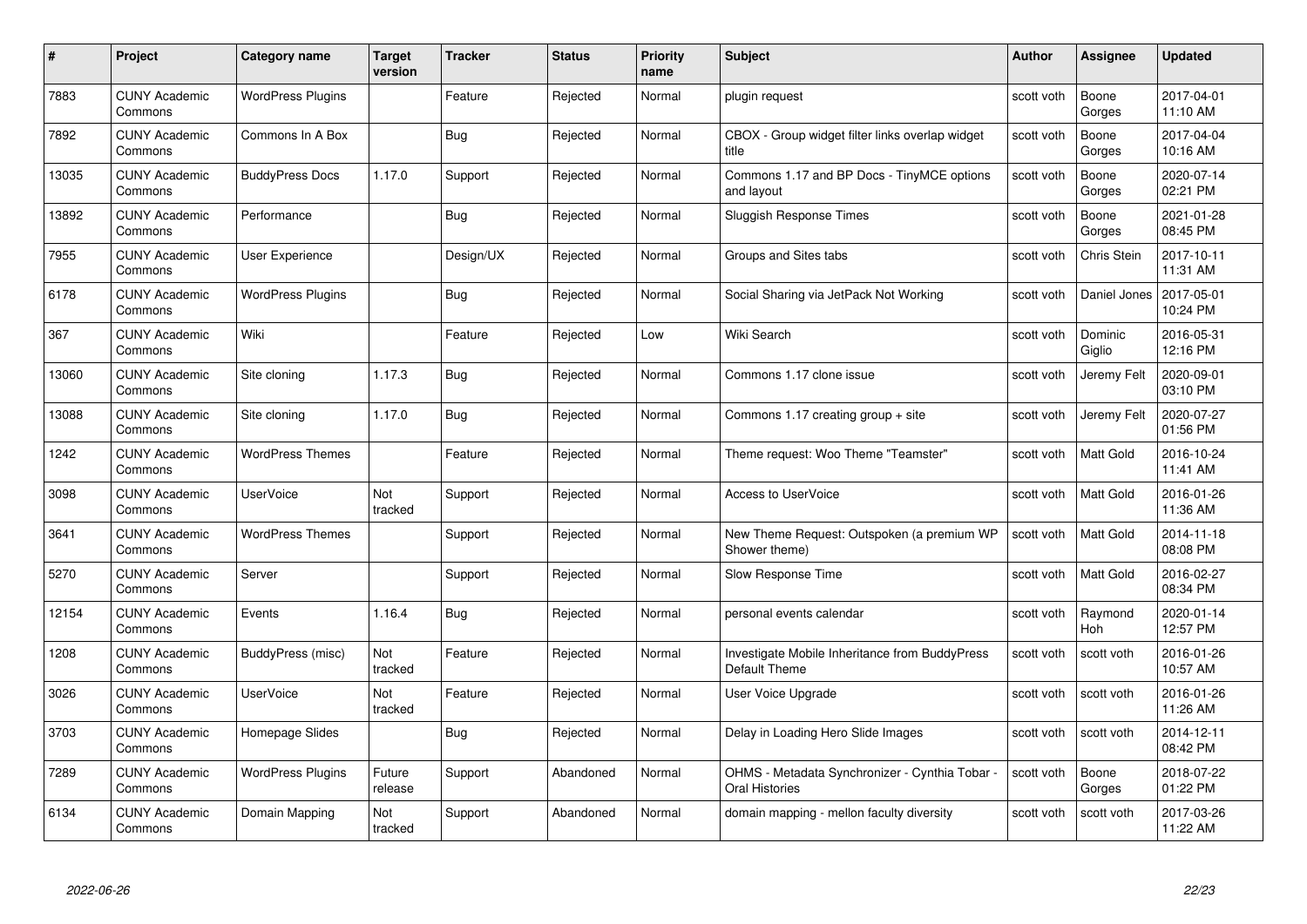| #     | Project                         | <b>Category name</b>     | Target<br>version | <b>Tracker</b> | <b>Status</b> | <b>Priority</b><br>name | <b>Subject</b>                                                        | <b>Author</b> | <b>Assignee</b>       | <b>Updated</b>         |
|-------|---------------------------------|--------------------------|-------------------|----------------|---------------|-------------------------|-----------------------------------------------------------------------|---------------|-----------------------|------------------------|
| 7883  | <b>CUNY Academic</b><br>Commons | <b>WordPress Plugins</b> |                   | Feature        | Rejected      | Normal                  | plugin request                                                        | scott voth    | Boone<br>Gorges       | 2017-04-01<br>11:10 AM |
| 7892  | <b>CUNY Academic</b><br>Commons | Commons In A Box         |                   | <b>Bug</b>     | Rejected      | Normal                  | CBOX - Group widget filter links overlap widget<br>title              | scott voth    | Boone<br>Gorges       | 2017-04-04<br>10:16 AM |
| 13035 | <b>CUNY Academic</b><br>Commons | <b>BuddyPress Docs</b>   | 1.17.0            | Support        | Rejected      | Normal                  | Commons 1.17 and BP Docs - TinyMCE options<br>and layout              | scott voth    | Boone<br>Gorges       | 2020-07-14<br>02:21 PM |
| 13892 | <b>CUNY Academic</b><br>Commons | Performance              |                   | Bug            | Rejected      | Normal                  | Sluggish Response Times                                               | scott voth    | Boone<br>Gorges       | 2021-01-28<br>08:45 PM |
| 7955  | <b>CUNY Academic</b><br>Commons | User Experience          |                   | Design/UX      | Rejected      | Normal                  | Groups and Sites tabs                                                 | scott voth    | Chris Stein           | 2017-10-11<br>11:31 AM |
| 6178  | <b>CUNY Academic</b><br>Commons | <b>WordPress Plugins</b> |                   | Bug            | Rejected      | Normal                  | Social Sharing via JetPack Not Working                                | scott voth    | Daniel Jones          | 2017-05-01<br>10:24 PM |
| 367   | <b>CUNY Academic</b><br>Commons | Wiki                     |                   | Feature        | Rejected      | Low                     | Wiki Search                                                           | scott voth    | Dominic<br>Giglio     | 2016-05-31<br>12:16 PM |
| 13060 | <b>CUNY Academic</b><br>Commons | Site cloning             | 1.17.3            | Bug            | Rejected      | Normal                  | Commons 1.17 clone issue                                              | scott voth    | Jeremy Felt           | 2020-09-01<br>03:10 PM |
| 13088 | <b>CUNY Academic</b><br>Commons | Site cloning             | 1.17.0            | <b>Bug</b>     | Rejected      | Normal                  | Commons 1.17 creating group $+$ site                                  | scott voth    | Jeremy Felt           | 2020-07-27<br>01:56 PM |
| 1242  | <b>CUNY Academic</b><br>Commons | <b>WordPress Themes</b>  |                   | Feature        | Rejected      | Normal                  | Theme request: Woo Theme "Teamster"                                   | scott voth    | Matt Gold             | 2016-10-24<br>11:41 AM |
| 3098  | <b>CUNY Academic</b><br>Commons | <b>UserVoice</b>         | Not<br>tracked    | Support        | Rejected      | Normal                  | <b>Access to UserVoice</b>                                            | scott voth    | Matt Gold             | 2016-01-26<br>11:36 AM |
| 3641  | <b>CUNY Academic</b><br>Commons | <b>WordPress Themes</b>  |                   | Support        | Rejected      | Normal                  | New Theme Request: Outspoken (a premium WP<br>Shower theme)           | scott voth    | Matt Gold             | 2014-11-18<br>08:08 PM |
| 5270  | <b>CUNY Academic</b><br>Commons | Server                   |                   | Support        | Rejected      | Normal                  | Slow Response Time                                                    | scott voth    | Matt Gold             | 2016-02-27<br>08:34 PM |
| 12154 | <b>CUNY Academic</b><br>Commons | Events                   | 1.16.4            | Bug            | Rejected      | Normal                  | personal events calendar                                              | scott voth    | Raymond<br><b>Hoh</b> | 2020-01-14<br>12:57 PM |
| 1208  | CUNY Academic<br>Commons        | BuddyPress (misc)        | Not<br>tracked    | Feature        | Rejected      | Normal                  | Investigate Mobile Inheritance from BuddyPress<br>Default Theme       | scott voth    | scott voth            | 2016-01-26<br>10:57 AM |
| 3026  | <b>CUNY Academic</b><br>Commons | <b>UserVoice</b>         | Not<br>tracked    | Feature        | Rejected      | Normal                  | User Voice Upgrade                                                    | scott voth    | scott voth            | 2016-01-26<br>11:26 AM |
| 3703  | <b>CUNY Academic</b><br>Commons | Homepage Slides          |                   | <b>Bug</b>     | Rejected      | Normal                  | Delay in Loading Hero Slide Images                                    | scott voth    | scott voth            | 2014-12-11<br>08:42 PM |
| 7289  | <b>CUNY Academic</b><br>Commons | <b>WordPress Plugins</b> | Future<br>release | Support        | Abandoned     | Normal                  | OHMS - Metadata Synchronizer - Cynthia Tobar<br><b>Oral Histories</b> | scott voth    | Boone<br>Gorges       | 2018-07-22<br>01:22 PM |
| 6134  | CUNY Academic<br>Commons        | Domain Mapping           | Not<br>tracked    | Support        | Abandoned     | Normal                  | domain mapping - mellon faculty diversity                             | scott voth    | scott voth            | 2017-03-26<br>11:22 AM |